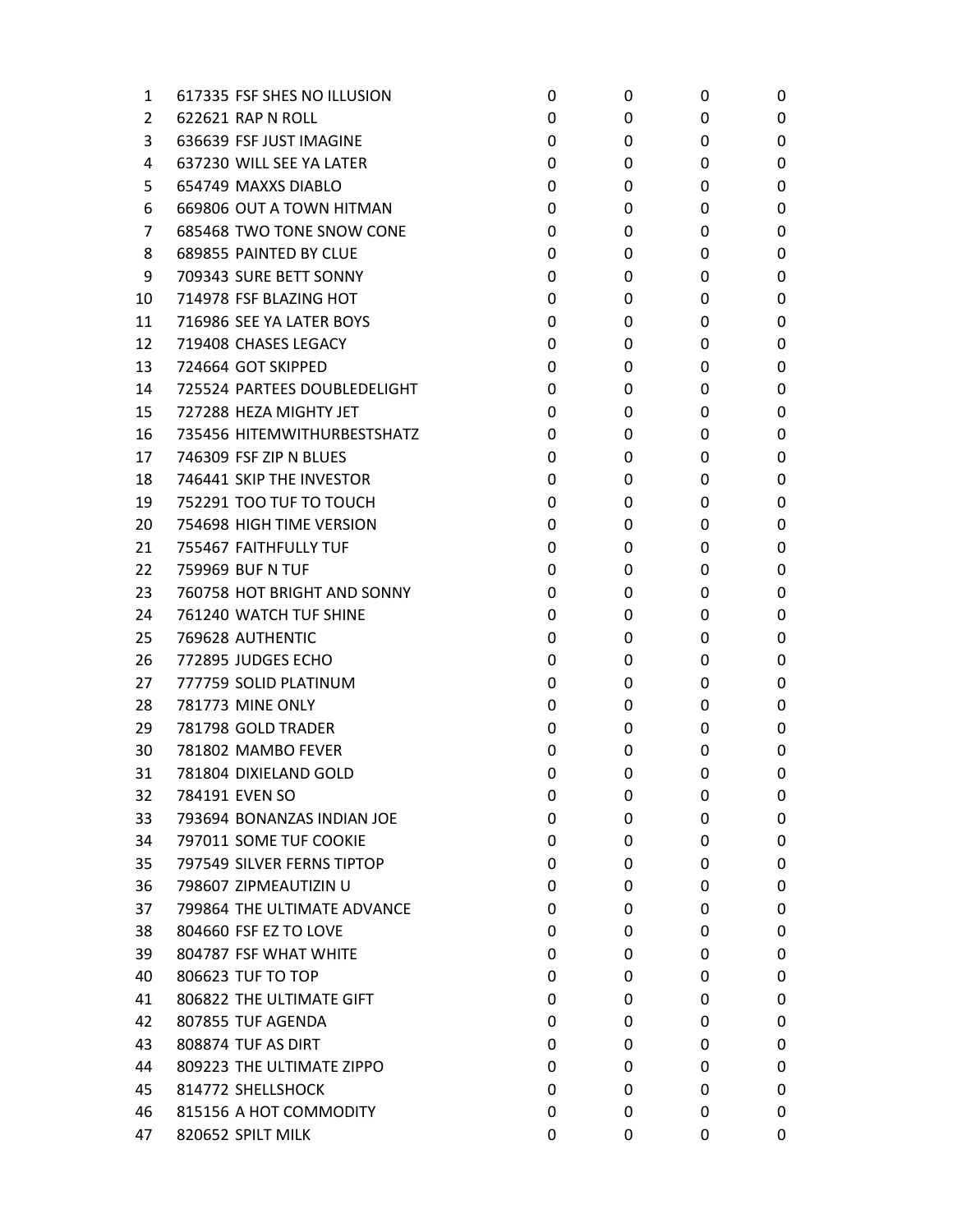| 1              | 617335 FSF SHES NO ILLUSION  | 0 | 0 | 0 | 0 |
|----------------|------------------------------|---|---|---|---|
| $\overline{2}$ | 622621 RAP N ROLL            | 0 | 0 | 0 | 0 |
| 3              | 636639 FSF JUST IMAGINE      | 0 | 0 | 0 | 0 |
| 4              | 637230 WILL SEE YA LATER     | 0 | 0 | 0 | 0 |
| 5              | 654749 MAXXS DIABLO          | 0 | 0 | 0 | 0 |
| 6              | 669806 OUT A TOWN HITMAN     | 0 | 0 | 0 | 0 |
| 7              | 685468 TWO TONE SNOW CONE    | 0 | 0 | 0 | 0 |
| 8              | 689855 PAINTED BY CLUE       | 0 | 0 | 0 | 0 |
| 9              | 709343 SURE BETT SONNY       | 0 | 0 | 0 | 0 |
| 10             | 714978 FSF BLAZING HOT       | 0 | 0 | 0 | 0 |
| 11             | 716986 SEE YA LATER BOYS     | 0 | 0 | 0 | 0 |
| 12             | 719408 CHASES LEGACY         | 0 | 0 | 0 | 0 |
| 13             | 724664 GOT SKIPPED           | 0 | 0 | 0 | 0 |
| 14             | 725524 PARTEES DOUBLEDELIGHT | 0 | 0 | 0 | 0 |
| 15             | 727288 HEZA MIGHTY JET       | 0 | 0 | 0 | 0 |
| 16             | 735456 HITEMWITHURBESTSHATZ  | 0 | 0 | 0 | 0 |
| 17             | 746309 FSF ZIP N BLUES       | 0 | 0 | 0 | 0 |
| 18             | 746441 SKIP THE INVESTOR     | 0 | 0 | 0 | 0 |
| 19             | 752291 TOO TUF TO TOUCH      | 0 | 0 | 0 | 0 |
| 20             | 754698 HIGH TIME VERSION     | 0 | 0 | 0 | 0 |
| 21             | 755467 FAITHFULLY TUF        | 0 | 0 | 0 | 0 |
| 22             | 759969 BUF N TUF             | 0 | 0 | 0 | 0 |
| 23             | 760758 HOT BRIGHT AND SONNY  | 0 | 0 | 0 | 0 |
| 24             | 761240 WATCH TUF SHINE       | 0 | 0 | 0 | 0 |
| 25             | 769628 AUTHENTIC             | 0 | 0 | 0 | 0 |
| 26             | 772895 JUDGES ECHO           | 0 | 0 | 0 | 0 |
| 27             | 777759 SOLID PLATINUM        | 0 | 0 | 0 | 0 |
| 28             | <b>781773 MINE ONLY</b>      | 0 | 0 | 0 | 0 |
| 29             | 781798 GOLD TRADER           | 0 | 0 | 0 | 0 |
| 30             | 781802 MAMBO FEVER           | 0 | 0 | 0 | 0 |
| 31             | 781804 DIXIELAND GOLD        | 0 | 0 | 0 | 0 |
| 32             | 784191 EVEN SO               | 0 | 0 | 0 | 0 |
| 33             | 793694 BONANZAS INDIAN JOE   | 0 | 0 | 0 | 0 |
| 34             | 797011 SOME TUF COOKIE       | 0 | 0 | 0 | 0 |
| 35             | 797549 SILVER FERNS TIPTOP   | 0 | 0 | 0 | 0 |
| 36             | 798607 ZIPMEAUTIZIN U        | 0 | 0 | 0 | 0 |
| 37             | 799864 THE ULTIMATE ADVANCE  | 0 | 0 | 0 | 0 |
| 38             | 804660 FSF EZ TO LOVE        | 0 | 0 | 0 | 0 |
| 39             | 804787 FSF WHAT WHITE        | 0 | 0 | 0 | 0 |
| 40             | 806623 TUF TO TOP            | 0 | 0 | 0 | 0 |
| 41             | 806822 THE ULTIMATE GIFT     | 0 | 0 | 0 | 0 |
| 42             | 807855 TUF AGENDA            | 0 | 0 | 0 | 0 |
| 43             | 808874 TUF AS DIRT           | 0 | 0 | 0 | 0 |
| 44             | 809223 THE ULTIMATE ZIPPO    | 0 | 0 | 0 | 0 |
| 45             | 814772 SHELLSHOCK            | 0 | 0 | 0 | 0 |
| 46             | 815156 A HOT COMMODITY       | 0 | 0 | 0 | 0 |
| 47             | 820652 SPILT MILK            | 0 | 0 | 0 | 0 |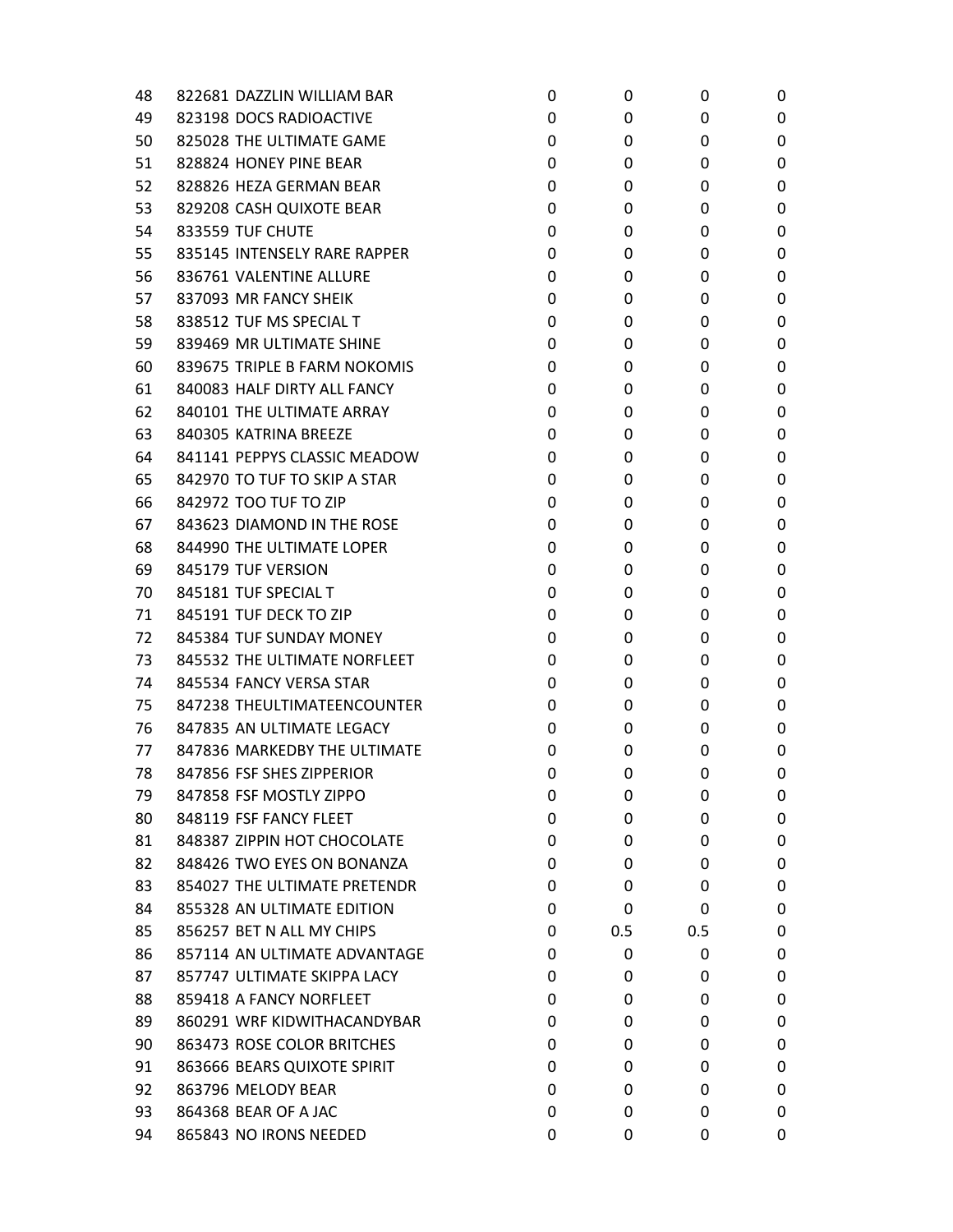| 48 | 822681 DAZZLIN WILLIAM BAR   | 0 | 0   | 0   | 0 |
|----|------------------------------|---|-----|-----|---|
| 49 | 823198 DOCS RADIOACTIVE      | 0 | 0   | 0   | 0 |
| 50 | 825028 THE ULTIMATE GAME     | 0 | 0   | 0   | 0 |
| 51 | 828824 HONEY PINE BEAR       | 0 | 0   | 0   | 0 |
| 52 | 828826 HEZA GERMAN BEAR      | 0 | 0   | 0   | 0 |
| 53 | 829208 CASH QUIXOTE BEAR     | 0 | 0   | 0   | 0 |
| 54 | 833559 TUF CHUTE             | 0 | 0   | 0   | 0 |
| 55 | 835145 INTENSELY RARE RAPPER | 0 | 0   | 0   | 0 |
| 56 | 836761 VALENTINE ALLURE      | 0 | 0   | 0   | 0 |
| 57 | 837093 MR FANCY SHEIK        | 0 | 0   | 0   | 0 |
| 58 | 838512 TUF MS SPECIAL T      | 0 | 0   | 0   | 0 |
| 59 | 839469 MR ULTIMATE SHINE     | 0 | 0   | 0   | 0 |
| 60 | 839675 TRIPLE B FARM NOKOMIS | 0 | 0   | 0   | 0 |
| 61 | 840083 HALF DIRTY ALL FANCY  | 0 | 0   | 0   | 0 |
| 62 | 840101 THE ULTIMATE ARRAY    | 0 | 0   | 0   | 0 |
| 63 | 840305 KATRINA BREEZE        | 0 | 0   | 0   | 0 |
| 64 | 841141 PEPPYS CLASSIC MEADOW | 0 | 0   | 0   | 0 |
| 65 | 842970 TO TUF TO SKIP A STAR | 0 | 0   | 0   | 0 |
| 66 | 842972 TOO TUF TO ZIP        | 0 | 0   | 0   | 0 |
| 67 | 843623 DIAMOND IN THE ROSE   | 0 | 0   | 0   | 0 |
| 68 | 844990 THE ULTIMATE LOPER    | 0 | 0   | 0   | 0 |
| 69 | 845179 TUF VERSION           | 0 | 0   | 0   | 0 |
| 70 | 845181 TUF SPECIAL T         | 0 | 0   | 0   | 0 |
| 71 | 845191 TUF DECK TO ZIP       | 0 | 0   | 0   | 0 |
| 72 | 845384 TUF SUNDAY MONEY      | 0 | 0   | 0   | 0 |
| 73 | 845532 THE ULTIMATE NORFLEET | 0 | 0   | 0   | 0 |
| 74 | 845534 FANCY VERSA STAR      | 0 | 0   | 0   | 0 |
| 75 | 847238 THEULTIMATEENCOUNTER  | 0 | 0   | 0   | 0 |
| 76 | 847835 AN ULTIMATE LEGACY    | 0 | 0   | 0   | 0 |
| 77 | 847836 MARKEDBY THE ULTIMATE | 0 | 0   | 0   | 0 |
| 78 | 847856 FSF SHES ZIPPERIOR    | 0 | 0   | 0   | 0 |
| 79 | 847858 FSF MOSTLY ZIPPO      | 0 | 0   | 0   | 0 |
| 80 | 848119 FSF FANCY FLEET       | 0 | 0   | 0   | 0 |
| 81 | 848387 ZIPPIN HOT CHOCOLATE  | 0 | 0   | 0   | 0 |
| 82 | 848426 TWO EYES ON BONANZA   | 0 | 0   | 0   | 0 |
| 83 | 854027 THE ULTIMATE PRETENDR | 0 | 0   | 0   | 0 |
| 84 | 855328 AN ULTIMATE EDITION   | 0 | 0   | 0   | 0 |
| 85 | 856257 BET N ALL MY CHIPS    | 0 | 0.5 | 0.5 | 0 |
| 86 | 857114 AN ULTIMATE ADVANTAGE | 0 | 0   | 0   | 0 |
| 87 | 857747 ULTIMATE SKIPPA LACY  | 0 | 0   | 0   | 0 |
| 88 | 859418 A FANCY NORFLEET      | 0 | 0   | 0   | 0 |
| 89 | 860291 WRF KIDWITHACANDYBAR  | 0 | 0   | 0   | 0 |
| 90 | 863473 ROSE COLOR BRITCHES   | 0 | 0   | 0   | 0 |
| 91 | 863666 BEARS QUIXOTE SPIRIT  | 0 | 0   | 0   | 0 |
| 92 | 863796 MELODY BEAR           | 0 | 0   | 0   | 0 |
| 93 | 864368 BEAR OF A JAC         | 0 | 0   | 0   | 0 |
| 94 | 865843 NO IRONS NEEDED       | 0 | 0   | 0   | 0 |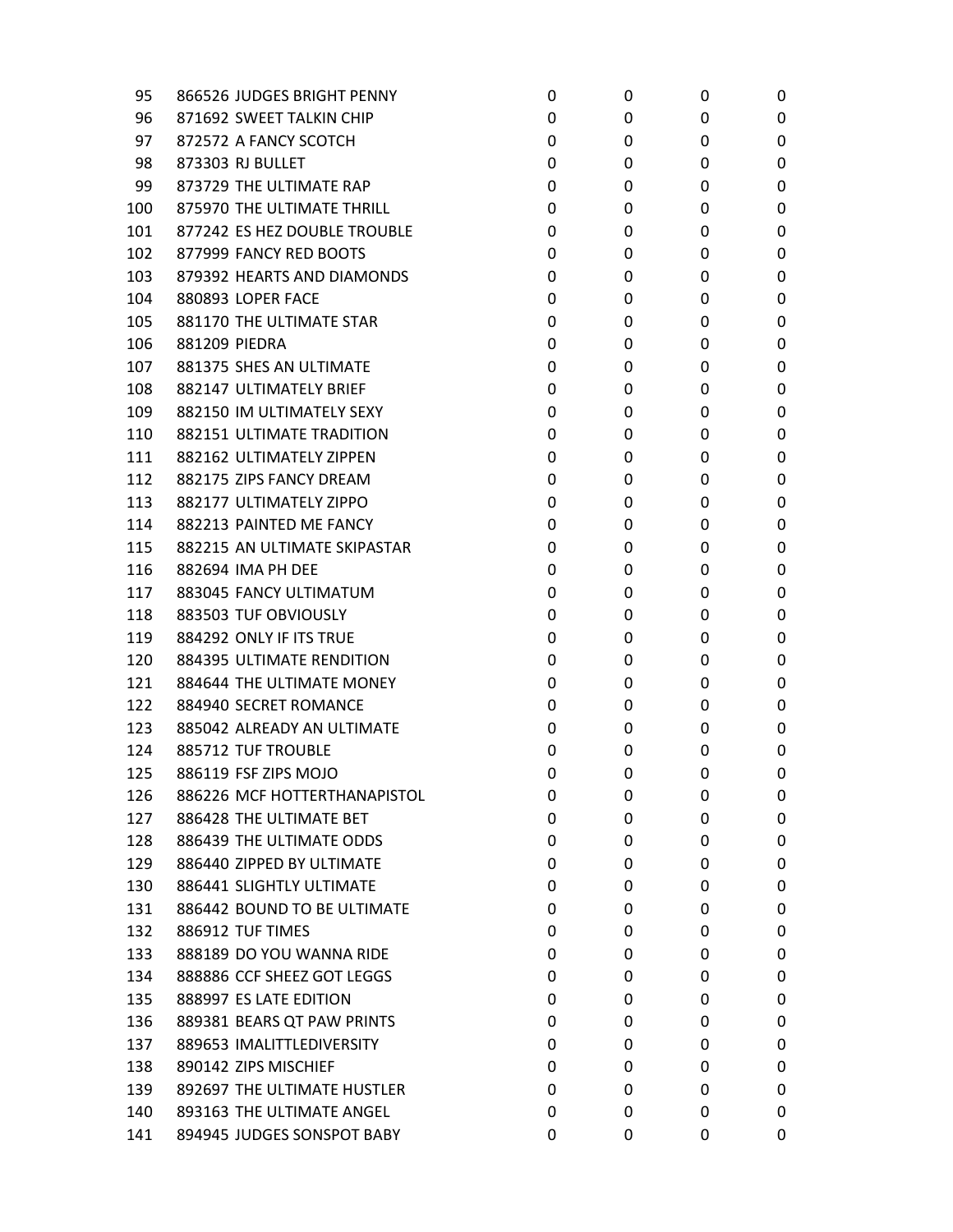| 95  | 866526 JUDGES BRIGHT PENNY   | 0 | 0 | 0 | 0 |
|-----|------------------------------|---|---|---|---|
| 96  | 871692 SWEET TALKIN CHIP     | 0 | 0 | 0 | 0 |
| 97  | 872572 A FANCY SCOTCH        | 0 | 0 | 0 | 0 |
| 98  | 873303 RJ BULLET             | 0 | 0 | 0 | 0 |
| 99  | 873729 THE ULTIMATE RAP      | 0 | 0 | 0 | 0 |
| 100 | 875970 THE ULTIMATE THRILL   | 0 | 0 | 0 | 0 |
| 101 | 877242 ES HEZ DOUBLE TROUBLE | 0 | 0 | 0 | 0 |
| 102 | 877999 FANCY RED BOOTS       | 0 | 0 | 0 | 0 |
| 103 | 879392 HEARTS AND DIAMONDS   | 0 | 0 | 0 | 0 |
| 104 | 880893 LOPER FACE            | 0 | 0 | 0 | 0 |
| 105 | 881170 THE ULTIMATE STAR     | 0 | 0 | 0 | 0 |
| 106 | 881209 PIEDRA                | 0 | 0 | 0 | 0 |
| 107 | 881375 SHES AN ULTIMATE      | 0 | 0 | 0 | 0 |
| 108 | 882147 ULTIMATELY BRIEF      | 0 | 0 | 0 | 0 |
| 109 | 882150 IM ULTIMATELY SEXY    | 0 | 0 | 0 | 0 |
| 110 | 882151 ULTIMATE TRADITION    | 0 | 0 | 0 | 0 |
| 111 | 882162 ULTIMATELY ZIPPEN     | 0 | 0 | 0 | 0 |
| 112 | 882175 ZIPS FANCY DREAM      | 0 | 0 | 0 | 0 |
| 113 | 882177 ULTIMATELY ZIPPO      | 0 | 0 | 0 | 0 |
| 114 | 882213 PAINTED ME FANCY      | 0 | 0 | 0 | 0 |
| 115 | 882215 AN ULTIMATE SKIPASTAR | 0 | 0 | 0 | 0 |
| 116 | 882694 IMA PH DEE            | 0 | 0 | 0 | 0 |
| 117 | 883045 FANCY ULTIMATUM       | 0 | 0 | 0 | 0 |
| 118 | 883503 TUF OBVIOUSLY         | 0 | 0 | 0 | 0 |
| 119 | 884292 ONLY IF ITS TRUE      | 0 | 0 | 0 | 0 |
| 120 | 884395 ULTIMATE RENDITION    | 0 | 0 | 0 | 0 |
| 121 | 884644 THE ULTIMATE MONEY    | 0 | 0 | 0 | 0 |
| 122 | 884940 SECRET ROMANCE        | 0 | 0 | 0 | 0 |
| 123 | 885042 ALREADY AN ULTIMATE   | 0 | 0 | 0 | 0 |
| 124 | 885712 TUF TROUBLE           | 0 | 0 | 0 | 0 |
| 125 | 886119 FSF ZIPS MOJO         | 0 | 0 | 0 | 0 |
| 126 | 886226 MCF HOTTERTHANAPISTOL | 0 | 0 | 0 | 0 |
| 127 | 886428 THE ULTIMATE BET      | 0 | 0 | 0 | 0 |
| 128 | 886439 THE ULTIMATE ODDS     | 0 | 0 | 0 | 0 |
| 129 | 886440 ZIPPED BY ULTIMATE    | 0 | 0 | 0 | 0 |
| 130 | 886441 SLIGHTLY ULTIMATE     | 0 | 0 | 0 | 0 |
| 131 | 886442 BOUND TO BE ULTIMATE  | 0 | 0 | 0 | 0 |
| 132 | 886912 TUF TIMES             | 0 | 0 | 0 | 0 |
| 133 | 888189 DO YOU WANNA RIDE     | 0 | 0 | 0 | 0 |
| 134 | 888886 CCF SHEEZ GOT LEGGS   | 0 | 0 | 0 | 0 |
| 135 | 888997 ES LATE EDITION       | 0 | 0 | 0 | 0 |
| 136 | 889381 BEARS QT PAW PRINTS   | 0 | 0 | 0 | 0 |
| 137 | 889653 IMALITTLEDIVERSITY    | 0 | 0 | 0 | 0 |
| 138 | 890142 ZIPS MISCHIEF         | 0 | 0 | 0 | 0 |
| 139 | 892697 THE ULTIMATE HUSTLER  | 0 | 0 | 0 | 0 |
| 140 | 893163 THE ULTIMATE ANGEL    | 0 | 0 | 0 | 0 |
| 141 | 894945 JUDGES SONSPOT BABY   | 0 | 0 | 0 | 0 |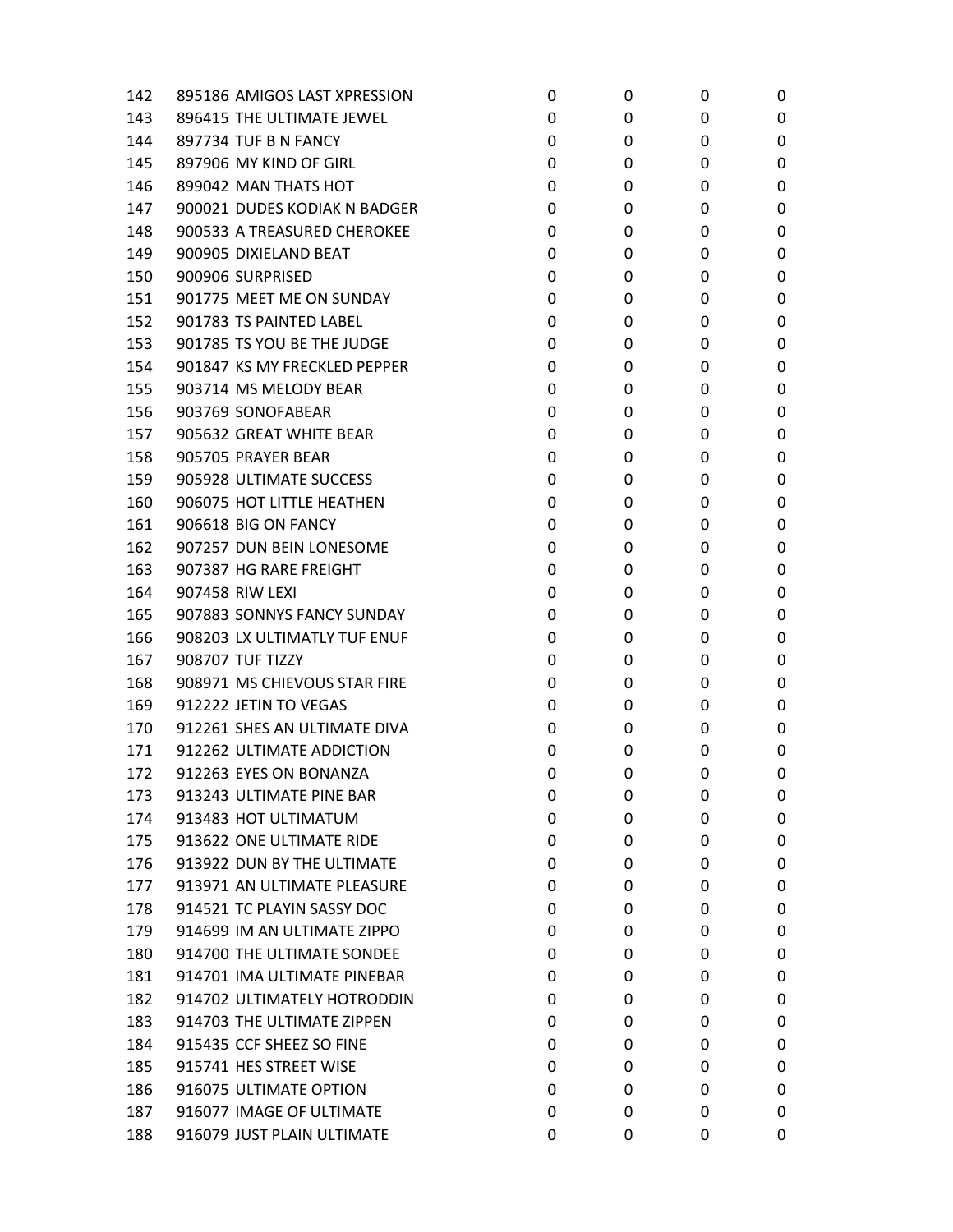| 142 | 895186 AMIGOS LAST XPRESSION | 0 | 0 | 0 | 0 |
|-----|------------------------------|---|---|---|---|
| 143 | 896415 THE ULTIMATE JEWEL    | 0 | 0 | 0 | 0 |
| 144 | 897734 TUF B N FANCY         | 0 | 0 | 0 | 0 |
| 145 | 897906 MY KIND OF GIRL       | 0 | 0 | 0 | 0 |
| 146 | 899042 MAN THATS HOT         | 0 | 0 | 0 | 0 |
| 147 | 900021 DUDES KODIAK N BADGER | 0 | 0 | 0 | 0 |
| 148 | 900533 A TREASURED CHEROKEE  | 0 | 0 | 0 | 0 |
| 149 | 900905 DIXIELAND BEAT        | 0 | 0 | 0 | 0 |
| 150 | 900906 SURPRISED             | 0 | 0 | 0 | 0 |
| 151 | 901775 MEET ME ON SUNDAY     | 0 | 0 | 0 | 0 |
| 152 | 901783 TS PAINTED LABEL      | 0 | 0 | 0 | 0 |
| 153 | 901785 TS YOU BE THE JUDGE   | 0 | 0 | 0 | 0 |
| 154 | 901847 KS MY FRECKLED PEPPER | 0 | 0 | 0 | 0 |
| 155 | 903714 MS MELODY BEAR        | 0 | 0 | 0 | 0 |
| 156 | 903769 SONOFABEAR            | 0 | 0 | 0 | 0 |
| 157 | 905632 GREAT WHITE BEAR      | 0 | 0 | 0 | 0 |
| 158 | 905705 PRAYER BEAR           | 0 | 0 | 0 | 0 |
| 159 | 905928 ULTIMATE SUCCESS      | 0 | 0 | 0 | 0 |
| 160 | 906075 HOT LITTLE HEATHEN    | 0 | 0 | 0 | 0 |
| 161 | 906618 BIG ON FANCY          | 0 | 0 | 0 | 0 |
| 162 | 907257 DUN BEIN LONESOME     | 0 | 0 | 0 | 0 |
| 163 | 907387 HG RARE FREIGHT       | 0 | 0 | 0 | 0 |
| 164 | 907458 RIW LEXI              | 0 | 0 | 0 | 0 |
| 165 | 907883 SONNYS FANCY SUNDAY   | 0 | 0 | 0 | 0 |
| 166 | 908203 LX ULTIMATLY TUF ENUF | 0 | 0 | 0 | 0 |
| 167 | 908707 TUF TIZZY             | 0 | 0 | 0 | 0 |
| 168 | 908971 MS CHIEVOUS STAR FIRE | 0 | 0 | 0 | 0 |
| 169 | 912222 JETIN TO VEGAS        | 0 | 0 | 0 | 0 |
| 170 | 912261 SHES AN ULTIMATE DIVA | 0 | 0 | 0 | 0 |
| 171 | 912262 ULTIMATE ADDICTION    | 0 | 0 | 0 | 0 |
| 172 | 912263 EYES ON BONANZA       | 0 | 0 | 0 | 0 |
| 173 | 913243 ULTIMATE PINE BAR     | 0 | 0 | 0 | 0 |
| 174 | 913483 HOT ULTIMATUM         | 0 | 0 | 0 | 0 |
| 175 | 913622 ONE ULTIMATE RIDE     | 0 | 0 | 0 | 0 |
| 176 | 913922 DUN BY THE ULTIMATE   | 0 | 0 | 0 | 0 |
| 177 | 913971 AN ULTIMATE PLEASURE  | 0 | 0 | 0 | 0 |
| 178 | 914521 TC PLAYIN SASSY DOC   | 0 | 0 | 0 | 0 |
| 179 | 914699 IM AN ULTIMATE ZIPPO  | 0 | 0 | 0 | 0 |
| 180 | 914700 THE ULTIMATE SONDEE   | 0 | 0 | 0 | 0 |
| 181 | 914701 IMA ULTIMATE PINEBAR  | 0 | 0 | 0 | 0 |
| 182 | 914702 ULTIMATELY HOTRODDIN  | 0 | 0 | 0 | 0 |
| 183 | 914703 THE ULTIMATE ZIPPEN   | 0 | 0 | 0 | 0 |
| 184 | 915435 CCF SHEEZ SO FINE     | 0 | 0 | 0 | 0 |
| 185 | 915741 HES STREET WISE       | 0 | 0 | 0 | 0 |
| 186 | 916075 ULTIMATE OPTION       | 0 | 0 | 0 | 0 |
| 187 | 916077 IMAGE OF ULTIMATE     | 0 | 0 | 0 | 0 |
| 188 | 916079 JUST PLAIN ULTIMATE   | 0 | 0 | 0 | 0 |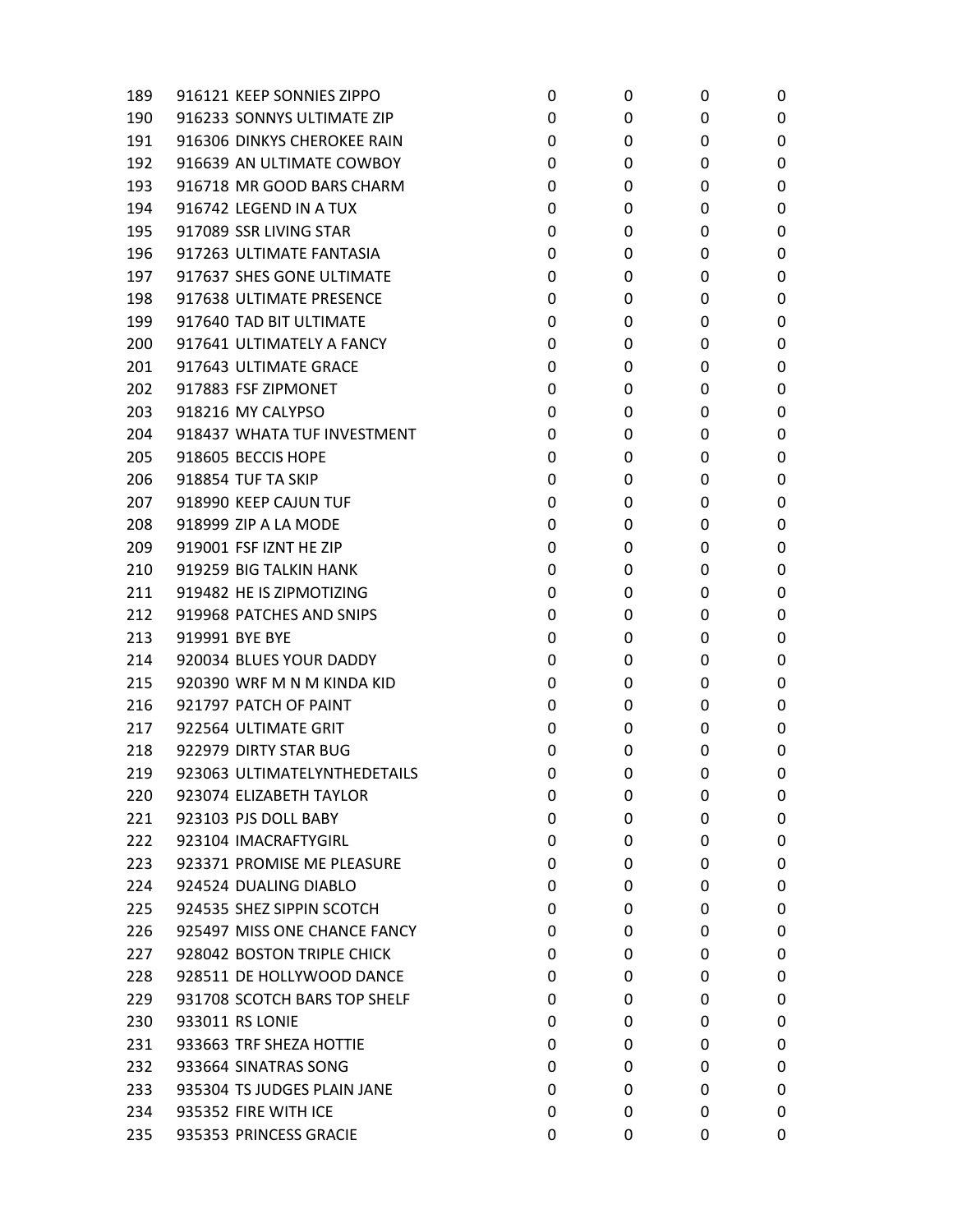| 189 | 916121 KEEP SONNIES ZIPPO    | 0 | 0 | 0 | 0 |
|-----|------------------------------|---|---|---|---|
| 190 | 916233 SONNYS ULTIMATE ZIP   | 0 | 0 | 0 | 0 |
| 191 | 916306 DINKYS CHEROKEE RAIN  | 0 | 0 | 0 | 0 |
| 192 | 916639 AN ULTIMATE COWBOY    | 0 | 0 | 0 | 0 |
| 193 | 916718 MR GOOD BARS CHARM    | 0 | 0 | 0 | 0 |
| 194 | 916742 LEGEND IN A TUX       | 0 | 0 | 0 | 0 |
| 195 | 917089 SSR LIVING STAR       | 0 | 0 | 0 | 0 |
| 196 | 917263 ULTIMATE FANTASIA     | 0 | 0 | 0 | 0 |
| 197 | 917637 SHES GONE ULTIMATE    | 0 | 0 | 0 | 0 |
| 198 | 917638 ULTIMATE PRESENCE     | 0 | 0 | 0 | 0 |
| 199 | 917640 TAD BIT ULTIMATE      | 0 | 0 | 0 | 0 |
| 200 | 917641 ULTIMATELY A FANCY    | 0 | 0 | 0 | 0 |
| 201 | 917643 ULTIMATE GRACE        | 0 | 0 | 0 | 0 |
| 202 | 917883 FSF ZIPMONET          | 0 | 0 | 0 | 0 |
| 203 | 918216 MY CALYPSO            | 0 | 0 | 0 | 0 |
| 204 | 918437 WHATA TUF INVESTMENT  | 0 | 0 | 0 | 0 |
| 205 | 918605 BECCIS HOPE           | 0 | 0 | 0 | 0 |
| 206 | 918854 TUF TA SKIP           | 0 | 0 | 0 | 0 |
| 207 | 918990 KEEP CAJUN TUF        | 0 | 0 | 0 | 0 |
| 208 | 918999 ZIP A LA MODE         | 0 | 0 | 0 | 0 |
| 209 | 919001 FSF IZNT HE ZIP       | 0 | 0 | 0 | 0 |
| 210 | 919259 BIG TALKIN HANK       | 0 | 0 | 0 | 0 |
| 211 | 919482 HE IS ZIPMOTIZING     | 0 | 0 | 0 | 0 |
| 212 | 919968 PATCHES AND SNIPS     | 0 | 0 | 0 | 0 |
| 213 | 919991 BYE BYE               | 0 | 0 | 0 | 0 |
| 214 | 920034 BLUES YOUR DADDY      | 0 | 0 | 0 | 0 |
| 215 | 920390 WRF M N M KINDA KID   | 0 | 0 | 0 | 0 |
| 216 | 921797 PATCH OF PAINT        | 0 | 0 | 0 | 0 |
| 217 | 922564 ULTIMATE GRIT         | 0 | 0 | 0 | 0 |
| 218 | 922979 DIRTY STAR BUG        | 0 | 0 | 0 | 0 |
| 219 | 923063 ULTIMATELYNTHEDETAILS | 0 | 0 | 0 | 0 |
| 220 | 923074 ELIZABETH TAYLOR      | 0 | 0 | 0 | 0 |
| 221 | 923103 PJS DOLL BABY         | 0 | 0 | 0 | 0 |
| 222 | 923104 IMACRAFTYGIRL         | 0 | 0 | 0 | 0 |
| 223 | 923371 PROMISE ME PLEASURE   | 0 | 0 | 0 | 0 |
| 224 | 924524 DUALING DIABLO        | 0 | 0 | 0 | 0 |
| 225 | 924535 SHEZ SIPPIN SCOTCH    | 0 | 0 | 0 | 0 |
| 226 | 925497 MISS ONE CHANCE FANCY | 0 | 0 | 0 | 0 |
| 227 | 928042 BOSTON TRIPLE CHICK   | 0 | 0 | 0 | 0 |
| 228 | 928511 DE HOLLYWOOD DANCE    | 0 | 0 | 0 | 0 |
| 229 | 931708 SCOTCH BARS TOP SHELF | 0 | 0 | 0 | 0 |
| 230 | 933011 RS LONIE              | 0 | 0 | 0 | 0 |
| 231 | 933663 TRF SHEZA HOTTIE      | 0 | 0 | 0 | 0 |
| 232 | 933664 SINATRAS SONG         | 0 | 0 | 0 | 0 |
| 233 | 935304 TS JUDGES PLAIN JANE  | 0 | 0 | 0 | 0 |
| 234 | 935352 FIRE WITH ICE         | 0 | 0 | 0 | 0 |
| 235 | 935353 PRINCESS GRACIE       | 0 | 0 | 0 | 0 |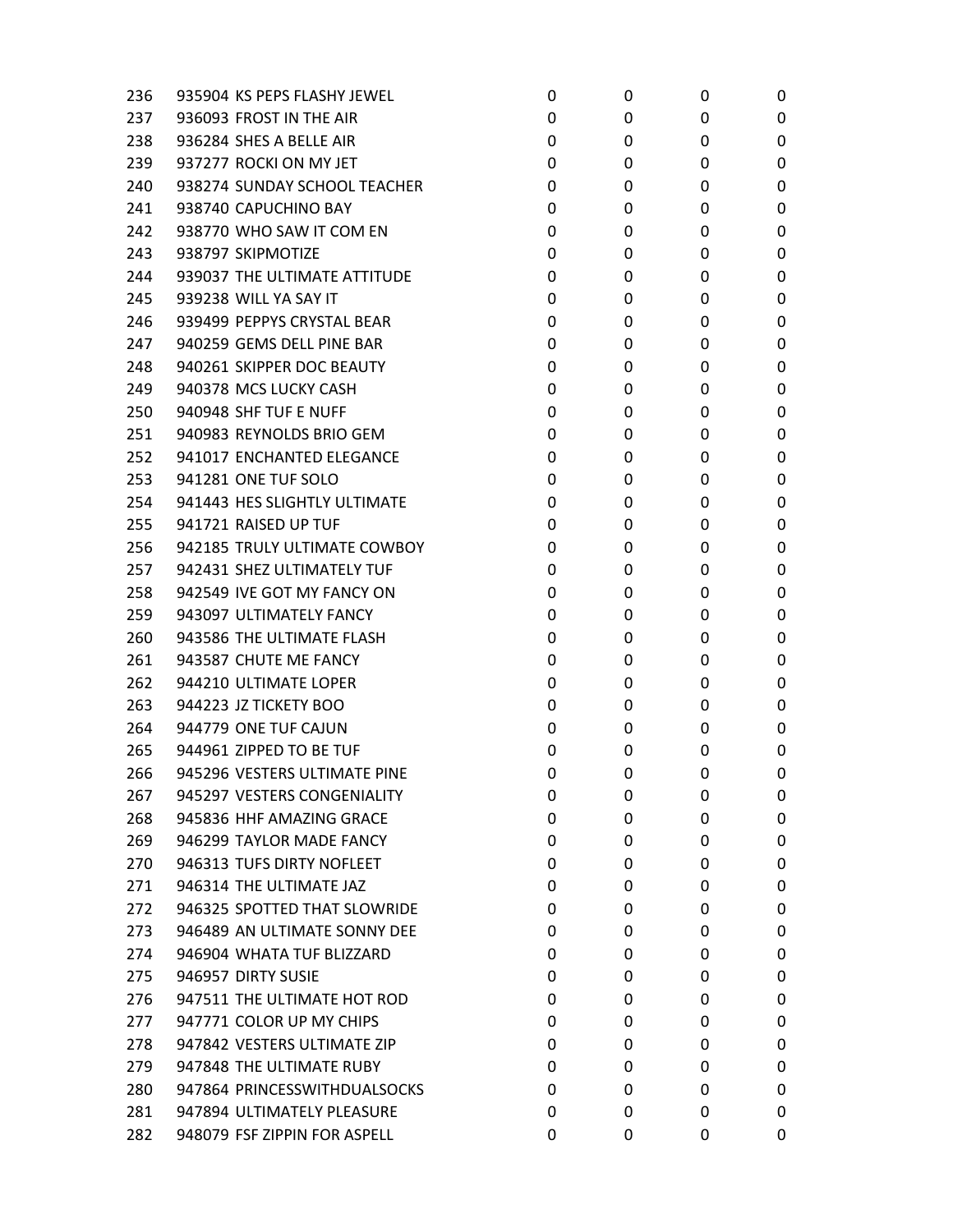| 236 | 935904 KS PEPS FLASHY JEWEL  | 0 | 0 | 0 | 0 |
|-----|------------------------------|---|---|---|---|
| 237 | 936093 FROST IN THE AIR      | 0 | 0 | 0 | 0 |
| 238 | 936284 SHES A BELLE AIR      | 0 | 0 | 0 | 0 |
| 239 | 937277 ROCKI ON MY JET       | 0 | 0 | 0 | 0 |
| 240 | 938274 SUNDAY SCHOOL TEACHER | 0 | 0 | 0 | 0 |
| 241 | 938740 CAPUCHINO BAY         | 0 | 0 | 0 | 0 |
| 242 | 938770 WHO SAW IT COM EN     | 0 | 0 | 0 | 0 |
| 243 | 938797 SKIPMOTIZE            | 0 | 0 | 0 | 0 |
| 244 | 939037 THE ULTIMATE ATTITUDE | 0 | 0 | 0 | 0 |
| 245 | 939238 WILL YA SAY IT        | 0 | 0 | 0 | 0 |
| 246 | 939499 PEPPYS CRYSTAL BEAR   | 0 | 0 | 0 | 0 |
| 247 | 940259 GEMS DELL PINE BAR    | 0 | 0 | 0 | 0 |
| 248 | 940261 SKIPPER DOC BEAUTY    | 0 | 0 | 0 | 0 |
| 249 | 940378 MCS LUCKY CASH        | 0 | 0 | 0 | 0 |
| 250 | 940948 SHF TUF E NUFF        | 0 | 0 | 0 | 0 |
| 251 | 940983 REYNOLDS BRIO GEM     | 0 | 0 | 0 | 0 |
| 252 | 941017 ENCHANTED ELEGANCE    | 0 | 0 | 0 | 0 |
| 253 | 941281 ONE TUF SOLO          | 0 | 0 | 0 | 0 |
| 254 | 941443 HES SLIGHTLY ULTIMATE | 0 | 0 | 0 | 0 |
| 255 | 941721 RAISED UP TUF         | 0 | 0 | 0 | 0 |
| 256 | 942185 TRULY ULTIMATE COWBOY | 0 | 0 | 0 | 0 |
| 257 | 942431 SHEZ ULTIMATELY TUF   | 0 | 0 | 0 | 0 |
| 258 | 942549 IVE GOT MY FANCY ON   | 0 | 0 | 0 | 0 |
| 259 | 943097 ULTIMATELY FANCY      | 0 | 0 | 0 | 0 |
| 260 | 943586 THE ULTIMATE FLASH    | 0 | 0 | 0 | 0 |
| 261 | 943587 CHUTE ME FANCY        | 0 | 0 | 0 | 0 |
| 262 | 944210 ULTIMATE LOPER        | 0 | 0 | 0 | 0 |
| 263 | 944223 JZ TICKETY BOO        | 0 | 0 | 0 | 0 |
| 264 | 944779 ONE TUF CAJUN         | 0 | 0 | 0 | 0 |
| 265 | 944961 ZIPPED TO BE TUF      | 0 | 0 | 0 | 0 |
| 266 | 945296 VESTERS ULTIMATE PINE | 0 | 0 | 0 | 0 |
| 267 | 945297 VESTERS CONGENIALITY  | 0 | 0 | 0 | 0 |
| 268 | 945836 HHF AMAZING GRACE     | 0 | 0 | 0 | 0 |
| 269 | 946299 TAYLOR MADE FANCY     | 0 | 0 | 0 | 0 |
| 270 | 946313 TUFS DIRTY NOFLEET    | 0 | 0 | 0 | 0 |
| 271 | 946314 THE ULTIMATE JAZ      | 0 | 0 | 0 | 0 |
| 272 | 946325 SPOTTED THAT SLOWRIDE | 0 | 0 | 0 | 0 |
| 273 | 946489 AN ULTIMATE SONNY DEE | 0 | 0 | 0 | 0 |
| 274 | 946904 WHATA TUF BLIZZARD    | 0 | 0 | 0 | 0 |
| 275 | 946957 DIRTY SUSIE           | 0 | 0 | 0 | 0 |
| 276 | 947511 THE ULTIMATE HOT ROD  | 0 | 0 | 0 | 0 |
| 277 | 947771 COLOR UP MY CHIPS     | 0 | 0 | 0 | 0 |
| 278 | 947842 VESTERS ULTIMATE ZIP  | 0 | 0 | 0 | 0 |
| 279 | 947848 THE ULTIMATE RUBY     | 0 | 0 | 0 | 0 |
| 280 | 947864 PRINCESSWITHDUALSOCKS | 0 | 0 | 0 | 0 |
| 281 | 947894 ULTIMATELY PLEASURE   | 0 | 0 | 0 | 0 |
| 282 | 948079 FSF ZIPPIN FOR ASPELL | 0 | 0 | 0 | 0 |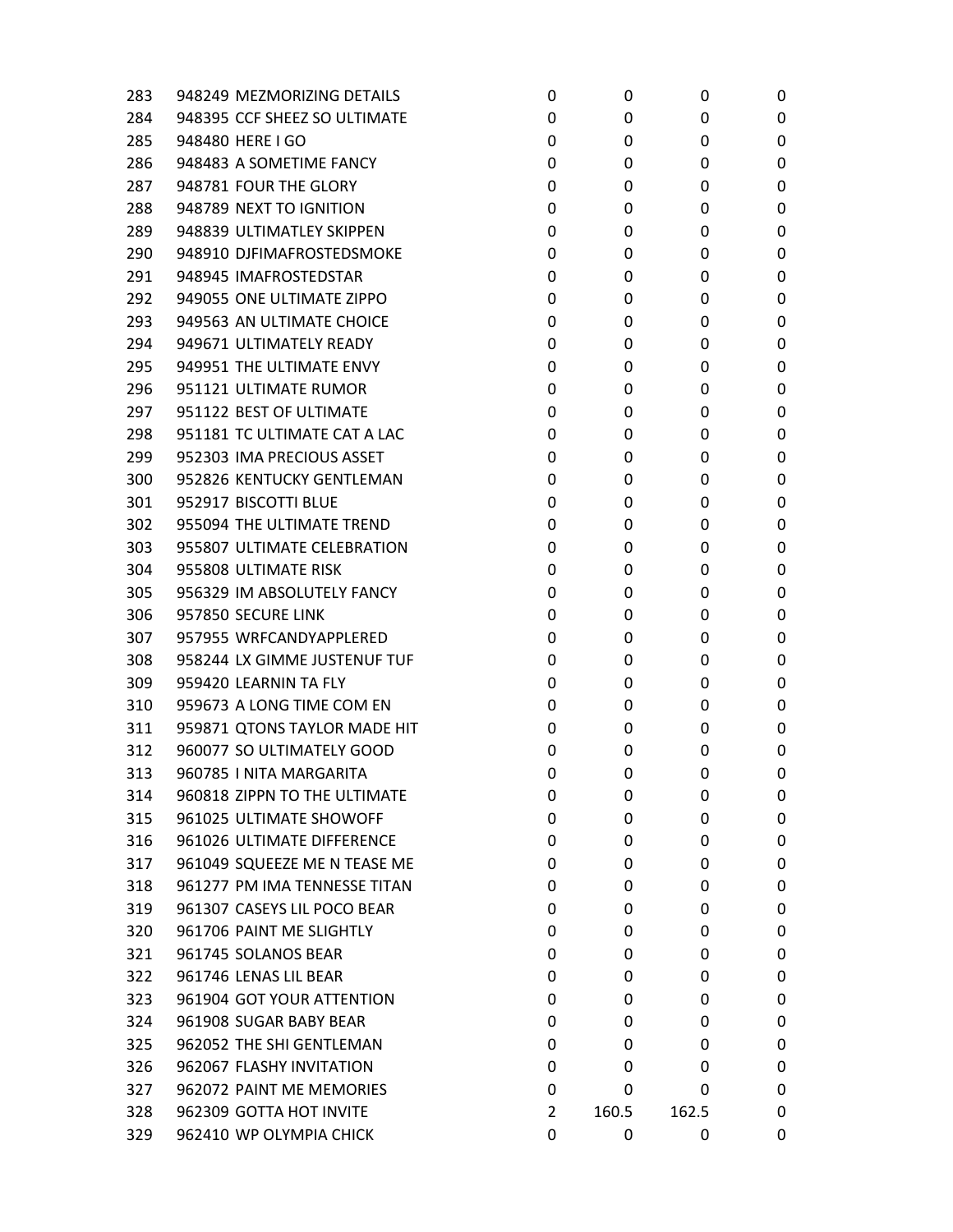| 283 | 948249 MEZMORIZING DETAILS   | 0 | 0     | 0     | 0 |
|-----|------------------------------|---|-------|-------|---|
| 284 | 948395 CCF SHEEZ SO ULTIMATE | 0 | 0     | 0     | 0 |
| 285 | 948480 HERE I GO             | 0 | 0     | 0     | 0 |
| 286 | 948483 A SOMETIME FANCY      | 0 | 0     | 0     | 0 |
| 287 | 948781 FOUR THE GLORY        | 0 | 0     | 0     | 0 |
| 288 | 948789 NEXT TO IGNITION      | 0 | 0     | 0     | 0 |
| 289 | 948839 ULTIMATLEY SKIPPEN    | 0 | 0     | 0     | 0 |
| 290 | 948910 DJFIMAFROSTEDSMOKE    | 0 | 0     | 0     | 0 |
| 291 | 948945 IMAFROSTEDSTAR        | 0 | 0     | 0     | 0 |
| 292 | 949055 ONE ULTIMATE ZIPPO    | 0 | 0     | 0     | 0 |
| 293 | 949563 AN ULTIMATE CHOICE    | 0 | 0     | 0     | 0 |
| 294 | 949671 ULTIMATELY READY      | 0 | 0     | 0     | 0 |
| 295 | 949951 THE ULTIMATE ENVY     | 0 | 0     | 0     | 0 |
| 296 | 951121 ULTIMATE RUMOR        | 0 | 0     | 0     | 0 |
| 297 | 951122 BEST OF ULTIMATE      | 0 | 0     | 0     | 0 |
| 298 | 951181 TC ULTIMATE CAT A LAC | 0 | 0     | 0     | 0 |
| 299 | 952303 IMA PRECIOUS ASSET    | 0 | 0     | 0     | 0 |
| 300 | 952826 KENTUCKY GENTLEMAN    | 0 | 0     | 0     | 0 |
| 301 | 952917 BISCOTTI BLUE         | 0 | 0     | 0     | 0 |
| 302 | 955094 THE ULTIMATE TREND    | 0 | 0     | 0     | 0 |
| 303 | 955807 ULTIMATE CELEBRATION  | 0 | 0     | 0     | 0 |
| 304 | 955808 ULTIMATE RISK         | 0 | 0     | 0     | 0 |
| 305 | 956329 IM ABSOLUTELY FANCY   | 0 | 0     | 0     | 0 |
| 306 | 957850 SECURE LINK           | 0 | 0     | 0     | 0 |
| 307 | 957955 WRFCANDYAPPLERED      | 0 | 0     | 0     | 0 |
| 308 | 958244 LX GIMME JUSTENUF TUF | 0 | 0     | 0     | 0 |
| 309 | 959420 LEARNIN TA FLY        | 0 | 0     | 0     | 0 |
| 310 | 959673 A LONG TIME COM EN    | 0 | 0     | 0     | 0 |
| 311 | 959871 QTONS TAYLOR MADE HIT | 0 | 0     | 0     | 0 |
| 312 | 960077 SO ULTIMATELY GOOD    | 0 | 0     | 0     | 0 |
| 313 | 960785   NITA MARGARITA      | 0 | 0     | 0     | 0 |
| 314 | 960818 ZIPPN TO THE ULTIMATE | 0 | 0     | 0     | 0 |
| 315 | 961025 ULTIMATE SHOWOFF      | 0 | 0     | 0     | 0 |
| 316 | 961026 ULTIMATE DIFFERENCE   | 0 | 0     | 0     | 0 |
| 317 | 961049 SQUEEZE ME N TEASE ME | 0 | 0     | 0     | 0 |
| 318 | 961277 PM IMA TENNESSE TITAN | 0 | 0     | 0     | 0 |
| 319 | 961307 CASEYS LIL POCO BEAR  | 0 | 0     | 0     | 0 |
| 320 | 961706 PAINT ME SLIGHTLY     | 0 | 0     | 0     | 0 |
| 321 | 961745 SOLANOS BEAR          | 0 | 0     | 0     | 0 |
| 322 | 961746 LENAS LIL BEAR        | 0 | 0     | 0     | 0 |
| 323 | 961904 GOT YOUR ATTENTION    | 0 | 0     | 0     | 0 |
| 324 | 961908 SUGAR BABY BEAR       | 0 | 0     | 0     | 0 |
| 325 | 962052 THE SHI GENTLEMAN     | 0 | 0     | 0     | 0 |
| 326 | 962067 FLASHY INVITATION     | 0 | 0     | 0     | 0 |
| 327 | 962072 PAINT ME MEMORIES     | 0 | 0     | 0     | 0 |
| 328 | 962309 GOTTA HOT INVITE      | 2 | 160.5 | 162.5 | 0 |
| 329 | 962410 WP OLYMPIA CHICK      | 0 | 0     | 0     | 0 |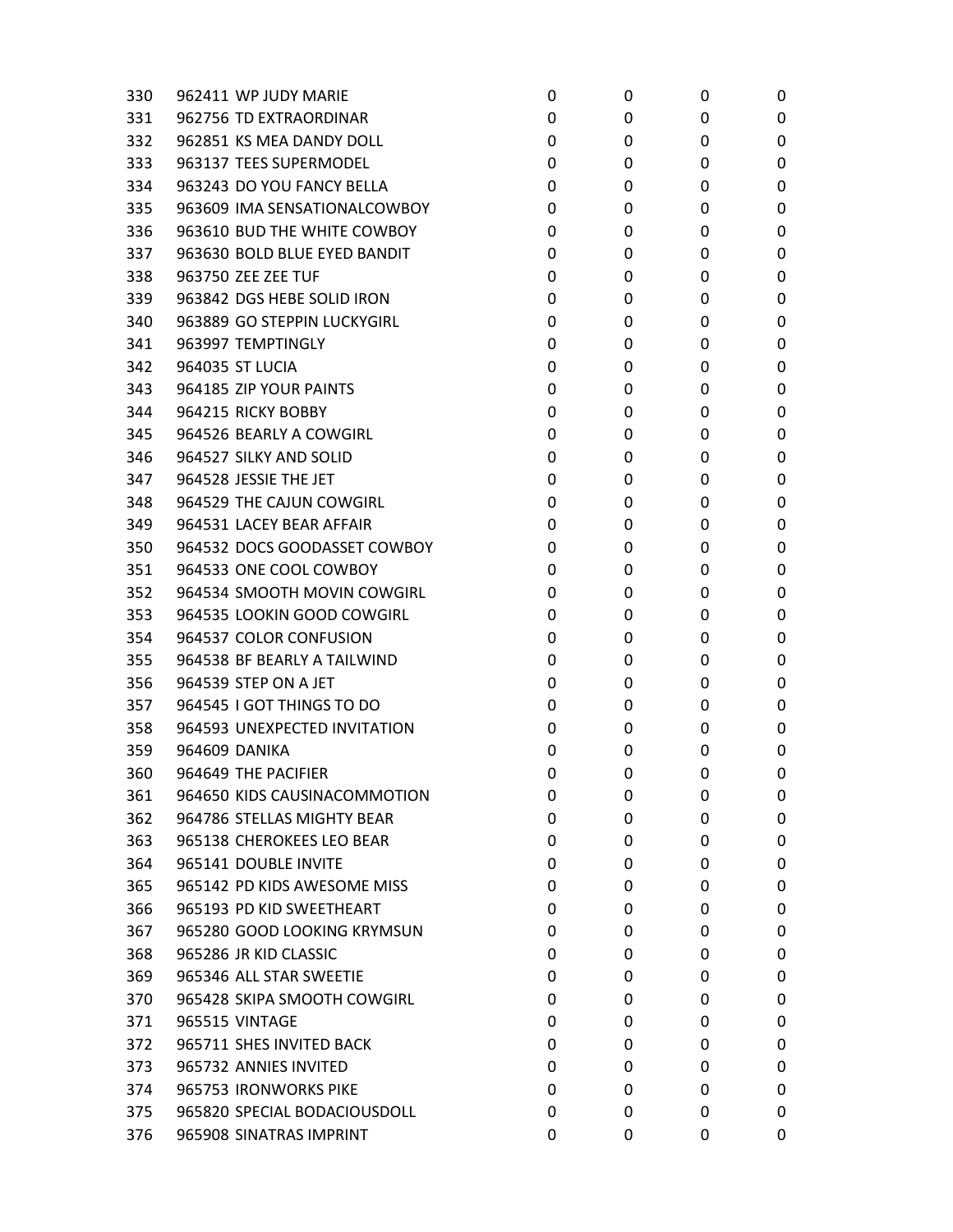| 330 | 962411 WP JUDY MARIE         | 0 | 0 | 0 | 0 |
|-----|------------------------------|---|---|---|---|
| 331 | 962756 TD EXTRAORDINAR       | 0 | 0 | 0 | 0 |
| 332 | 962851 KS MEA DANDY DOLL     | 0 | 0 | 0 | 0 |
| 333 | 963137 TEES SUPERMODEL       | 0 | 0 | 0 | 0 |
| 334 | 963243 DO YOU FANCY BELLA    | 0 | 0 | 0 | 0 |
| 335 | 963609 IMA SENSATIONALCOWBOY | 0 | 0 | 0 | 0 |
| 336 | 963610 BUD THE WHITE COWBOY  | 0 | 0 | 0 | 0 |
| 337 | 963630 BOLD BLUE EYED BANDIT | 0 | 0 | 0 | 0 |
| 338 | 963750 ZEE ZEE TUF           | 0 | 0 | 0 | 0 |
| 339 | 963842 DGS HEBE SOLID IRON   | 0 | 0 | 0 | 0 |
| 340 | 963889 GO STEPPIN LUCKYGIRL  | 0 | 0 | 0 | 0 |
| 341 | 963997 TEMPTINGLY            | 0 | 0 | 0 | 0 |
| 342 | 964035 ST LUCIA              | 0 | 0 | 0 | 0 |
| 343 | 964185 ZIP YOUR PAINTS       | 0 | 0 | 0 | 0 |
| 344 | 964215 RICKY BOBBY           | 0 | 0 | 0 | 0 |
| 345 | 964526 BEARLY A COWGIRL      | 0 | 0 | 0 | 0 |
| 346 | 964527 SILKY AND SOLID       | 0 | 0 | 0 | 0 |
| 347 | 964528 JESSIE THE JET        | 0 | 0 | 0 | 0 |
| 348 | 964529 THE CAJUN COWGIRL     | 0 | 0 | 0 | 0 |
| 349 | 964531 LACEY BEAR AFFAIR     | 0 | 0 | 0 | 0 |
| 350 | 964532 DOCS GOODASSET COWBOY | 0 | 0 | 0 | 0 |
| 351 | 964533 ONE COOL COWBOY       | 0 | 0 | 0 | 0 |
| 352 | 964534 SMOOTH MOVIN COWGIRL  | 0 | 0 | 0 | 0 |
| 353 | 964535 LOOKIN GOOD COWGIRL   | 0 | 0 | 0 | 0 |
| 354 | 964537 COLOR CONFUSION       | 0 | 0 | 0 | 0 |
| 355 | 964538 BF BEARLY A TAILWIND  | 0 | 0 | 0 | 0 |
| 356 | 964539 STEP ON A JET         | 0 | 0 | 0 | 0 |
| 357 | 964545 I GOT THINGS TO DO    | 0 | 0 | 0 | 0 |
| 358 | 964593 UNEXPECTED INVITATION | 0 | 0 | 0 | 0 |
| 359 | 964609 DANIKA                | 0 | 0 | 0 | 0 |
| 360 | 964649 THE PACIFIER          | 0 | 0 | 0 | 0 |
| 361 | 964650 KIDS CAUSINACOMMOTION | 0 | 0 | 0 | 0 |
| 362 | 964786 STELLAS MIGHTY BEAR   | 0 | 0 | 0 | 0 |
| 363 | 965138 CHEROKEES LEO BEAR    | 0 | 0 | 0 | 0 |
| 364 | 965141 DOUBLE INVITE         | 0 | 0 | 0 | 0 |
| 365 | 965142 PD KIDS AWESOME MISS  | 0 | 0 | 0 | 0 |
| 366 | 965193 PD KID SWEETHEART     | 0 | 0 | 0 | 0 |
| 367 | 965280 GOOD LOOKING KRYMSUN  | 0 | 0 | 0 | 0 |
| 368 | 965286 JR KID CLASSIC        | 0 | 0 | 0 | 0 |
| 369 | 965346 ALL STAR SWEETIE      | 0 | 0 | 0 | 0 |
| 370 | 965428 SKIPA SMOOTH COWGIRL  | 0 | 0 | 0 | 0 |
| 371 | 965515 VINTAGE               | 0 | 0 | 0 | 0 |
| 372 | 965711 SHES INVITED BACK     | 0 | 0 | 0 | 0 |
| 373 | 965732 ANNIES INVITED        | 0 | 0 | 0 | 0 |
| 374 | 965753 IRONWORKS PIKE        | 0 | 0 | 0 | 0 |
| 375 | 965820 SPECIAL BODACIOUSDOLL | 0 | 0 | 0 | 0 |
| 376 | 965908 SINATRAS IMPRINT      | 0 | 0 | 0 | 0 |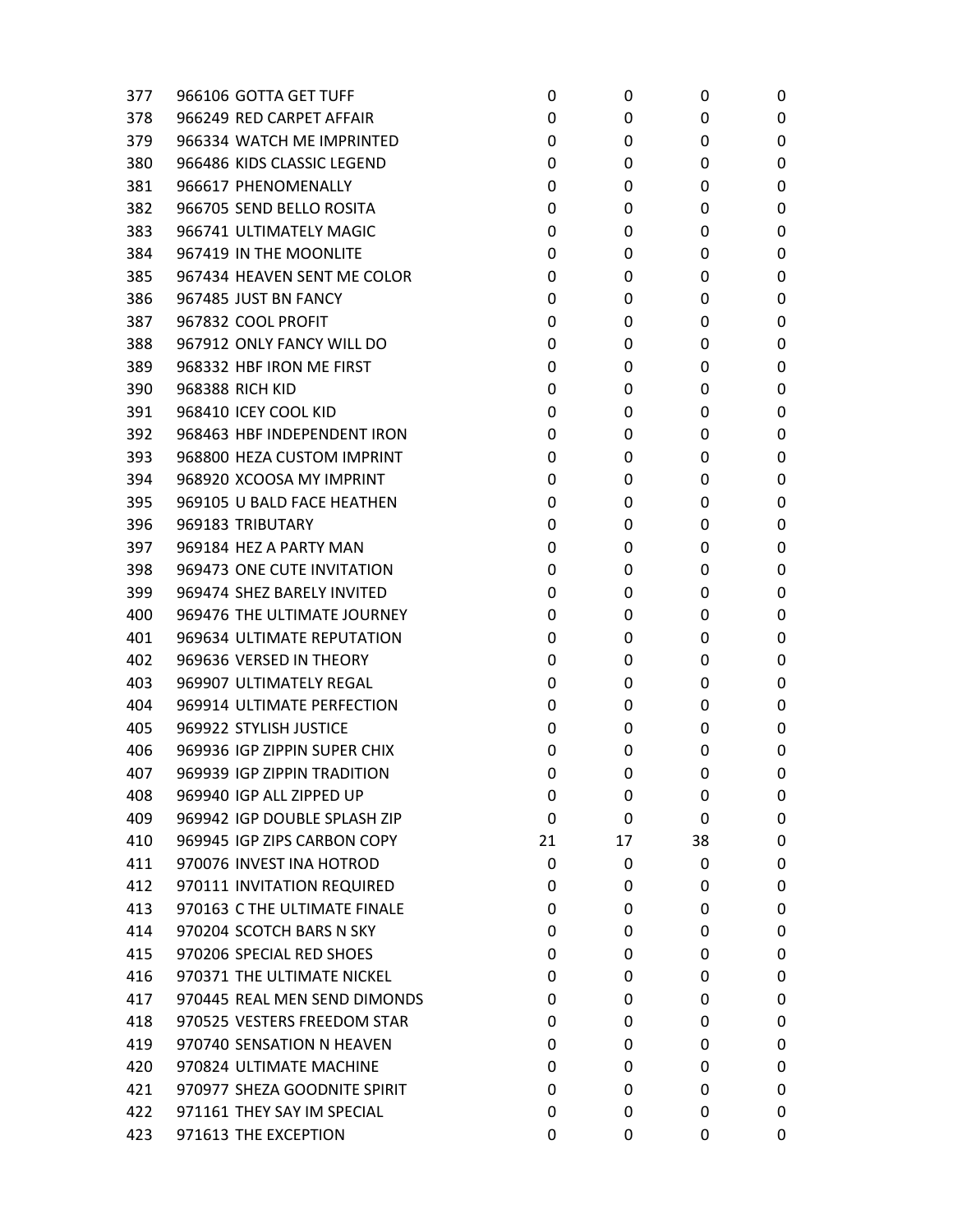| 377 | 966106 GOTTA GET TUFF        | 0  | 0  | 0  | 0 |
|-----|------------------------------|----|----|----|---|
| 378 | 966249 RED CARPET AFFAIR     | 0  | 0  | 0  | 0 |
| 379 | 966334 WATCH ME IMPRINTED    | 0  | 0  | 0  | 0 |
| 380 | 966486 KIDS CLASSIC LEGEND   | 0  | 0  | 0  | 0 |
| 381 | 966617 PHENOMENALLY          | 0  | 0  | 0  | 0 |
| 382 | 966705 SEND BELLO ROSITA     | 0  | 0  | 0  | 0 |
| 383 | 966741 ULTIMATELY MAGIC      | 0  | 0  | 0  | 0 |
| 384 | 967419 IN THE MOONLITE       | 0  | 0  | 0  | 0 |
| 385 | 967434 HEAVEN SENT ME COLOR  | 0  | 0  | 0  | 0 |
| 386 | 967485 JUST BN FANCY         | 0  | 0  | 0  | 0 |
| 387 | 967832 COOL PROFIT           | 0  | 0  | 0  | 0 |
| 388 | 967912 ONLY FANCY WILL DO    | 0  | 0  | 0  | 0 |
| 389 | 968332 HBF IRON ME FIRST     | 0  | 0  | 0  | 0 |
| 390 | 968388 RICH KID              | 0  | 0  | 0  | 0 |
| 391 | 968410 ICEY COOL KID         | 0  | 0  | 0  | 0 |
| 392 | 968463 HBF INDEPENDENT IRON  | 0  | 0  | 0  | 0 |
| 393 | 968800 HEZA CUSTOM IMPRINT   | 0  | 0  | 0  | 0 |
| 394 | 968920 XCOOSA MY IMPRINT     | 0  | 0  | 0  | 0 |
| 395 | 969105 U BALD FACE HEATHEN   | 0  | 0  | 0  | 0 |
| 396 | 969183 TRIBUTARY             | 0  | 0  | 0  | 0 |
| 397 | 969184 HEZ A PARTY MAN       | 0  | 0  | 0  | 0 |
| 398 | 969473 ONE CUTE INVITATION   | 0  | 0  | 0  | 0 |
| 399 | 969474 SHEZ BARELY INVITED   | 0  | 0  | 0  | 0 |
| 400 | 969476 THE ULTIMATE JOURNEY  | 0  | 0  | 0  | 0 |
| 401 | 969634 ULTIMATE REPUTATION   | 0  | 0  | 0  | 0 |
| 402 | 969636 VERSED IN THEORY      | 0  | 0  | 0  | 0 |
| 403 | 969907 ULTIMATELY REGAL      | 0  | 0  | 0  | 0 |
| 404 | 969914 ULTIMATE PERFECTION   | 0  | 0  | 0  | 0 |
| 405 | 969922 STYLISH JUSTICE       | 0  | 0  | 0  | 0 |
| 406 | 969936 IGP ZIPPIN SUPER CHIX | 0  | 0  | 0  | 0 |
| 407 | 969939 IGP ZIPPIN TRADITION  | 0  | 0  | 0  | 0 |
| 408 | 969940 IGP ALL ZIPPED UP     | 0  | 0  | 0  | 0 |
| 409 | 969942 IGP DOUBLE SPLASH ZIP | 0  | 0  | 0  | 0 |
| 410 | 969945 IGP ZIPS CARBON COPY  | 21 | 17 | 38 | 0 |
| 411 | 970076 INVEST INA HOTROD     | 0  | 0  | 0  | 0 |
| 412 | 970111 INVITATION REQUIRED   | 0  | 0  | 0  | 0 |
| 413 | 970163 C THE ULTIMATE FINALE | 0  | 0  | 0  | 0 |
| 414 | 970204 SCOTCH BARS N SKY     | 0  | 0  | 0  | 0 |
| 415 | 970206 SPECIAL RED SHOES     | 0  | 0  | 0  | 0 |
| 416 | 970371 THE ULTIMATE NICKEL   | 0  | 0  | 0  | 0 |
| 417 | 970445 REAL MEN SEND DIMONDS | 0  | 0  | 0  | 0 |
| 418 | 970525 VESTERS FREEDOM STAR  | 0  | 0  | 0  | 0 |
| 419 | 970740 SENSATION N HEAVEN    | 0  | 0  | 0  | 0 |
| 420 | 970824 ULTIMATE MACHINE      | 0  | 0  | 0  | 0 |
| 421 | 970977 SHEZA GOODNITE SPIRIT | 0  | 0  | 0  | 0 |
| 422 | 971161 THEY SAY IM SPECIAL   | 0  | 0  | 0  | 0 |
| 423 | 971613 THE EXCEPTION         | 0  | 0  | 0  | 0 |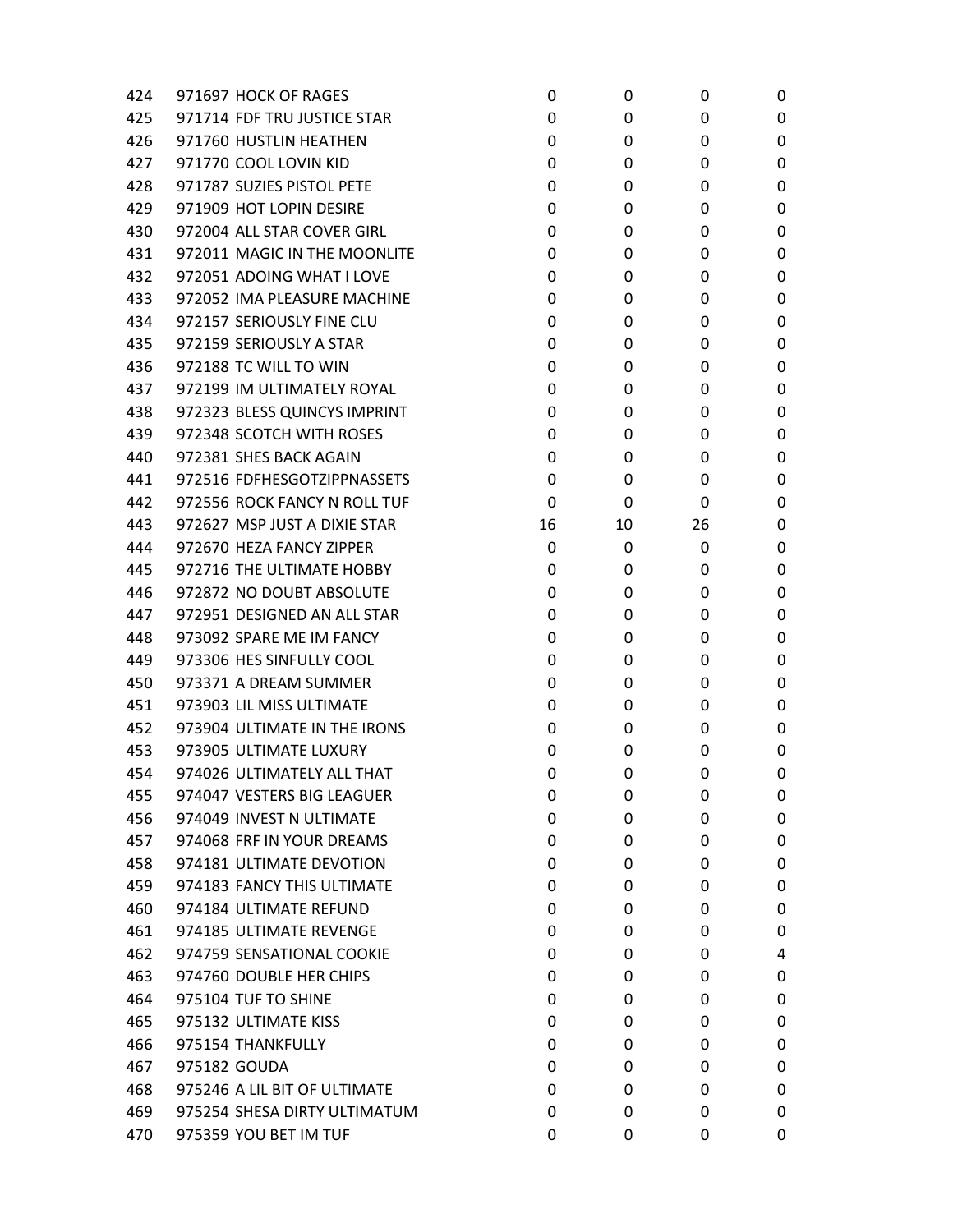| 424 | 971697 HOCK OF RAGES         | 0  | 0  | 0  | 0 |
|-----|------------------------------|----|----|----|---|
| 425 | 971714 FDF TRU JUSTICE STAR  | 0  | 0  | 0  | 0 |
| 426 | 971760 HUSTLIN HEATHEN       | 0  | 0  | 0  | 0 |
| 427 | 971770 COOL LOVIN KID        | 0  | 0  | 0  | 0 |
| 428 | 971787 SUZIES PISTOL PETE    | 0  | 0  | 0  | 0 |
| 429 | 971909 HOT LOPIN DESIRE      | 0  | 0  | 0  | 0 |
| 430 | 972004 ALL STAR COVER GIRL   | 0  | 0  | 0  | 0 |
| 431 | 972011 MAGIC IN THE MOONLITE | 0  | 0  | 0  | 0 |
| 432 | 972051 ADOING WHAT I LOVE    | 0  | 0  | 0  | 0 |
| 433 | 972052 IMA PLEASURE MACHINE  | 0  | 0  | 0  | 0 |
| 434 | 972157 SERIOUSLY FINE CLU    | 0  | 0  | 0  | 0 |
| 435 | 972159 SERIOUSLY A STAR      | 0  | 0  | 0  | 0 |
| 436 | 972188 TC WILL TO WIN        | 0  | 0  | 0  | 0 |
| 437 | 972199 IM ULTIMATELY ROYAL   | 0  | 0  | 0  | 0 |
| 438 | 972323 BLESS QUINCYS IMPRINT | 0  | 0  | 0  | 0 |
| 439 | 972348 SCOTCH WITH ROSES     | 0  | 0  | 0  | 0 |
| 440 | 972381 SHES BACK AGAIN       | 0  | 0  | 0  | 0 |
| 441 | 972516 FDFHESGOTZIPPNASSETS  | 0  | 0  | 0  | 0 |
| 442 | 972556 ROCK FANCY N ROLL TUF | 0  | 0  | 0  | 0 |
| 443 | 972627 MSP JUST A DIXIE STAR | 16 | 10 | 26 | 0 |
| 444 | 972670 HEZA FANCY ZIPPER     | 0  | 0  | 0  | 0 |
| 445 | 972716 THE ULTIMATE HOBBY    | 0  | 0  | 0  | 0 |
| 446 | 972872 NO DOUBT ABSOLUTE     | 0  | 0  | 0  | 0 |
| 447 | 972951 DESIGNED AN ALL STAR  | 0  | 0  | 0  | 0 |
| 448 | 973092 SPARE ME IM FANCY     | 0  | 0  | 0  | 0 |
| 449 | 973306 HES SINFULLY COOL     | 0  | 0  | 0  | 0 |
| 450 | 973371 A DREAM SUMMER        | 0  | 0  | 0  | 0 |
| 451 | 973903 LIL MISS ULTIMATE     | 0  | 0  | 0  | 0 |
| 452 | 973904 ULTIMATE IN THE IRONS | 0  | 0  | 0  | 0 |
| 453 | 973905 ULTIMATE LUXURY       | 0  | 0  | 0  | 0 |
| 454 | 974026 ULTIMATELY ALL THAT   | 0  | 0  | 0  | 0 |
| 455 | 974047 VESTERS BIG LEAGUER   | 0  | 0  | 0  | 0 |
| 456 | 974049 INVEST N ULTIMATE     | 0  | 0  | 0  | 0 |
| 457 | 974068 FRF IN YOUR DREAMS    | 0  | 0  | 0  | 0 |
| 458 | 974181 ULTIMATE DEVOTION     | 0  | 0  | 0  | 0 |
| 459 | 974183 FANCY THIS ULTIMATE   | 0  | 0  | 0  | 0 |
| 460 | 974184 ULTIMATE REFUND       | 0  | 0  | 0  | 0 |
| 461 | 974185 ULTIMATE REVENGE      | 0  | 0  | 0  | 0 |
| 462 | 974759 SENSATIONAL COOKIE    | 0  | 0  | 0  | 4 |
| 463 | 974760 DOUBLE HER CHIPS      | 0  | 0  | 0  | 0 |
| 464 | 975104 TUF TO SHINE          | 0  | 0  | 0  | 0 |
| 465 | 975132 ULTIMATE KISS         | 0  | 0  | 0  | 0 |
| 466 | 975154 THANKFULLY            | 0  | 0  | 0  | 0 |
| 467 | 975182 GOUDA                 | 0  | 0  | 0  | 0 |
| 468 | 975246 A LIL BIT OF ULTIMATE | 0  | 0  | 0  | 0 |
| 469 | 975254 SHESA DIRTY ULTIMATUM | 0  | 0  | 0  | 0 |
| 470 | 975359 YOU BET IM TUF        | 0  | 0  | 0  | 0 |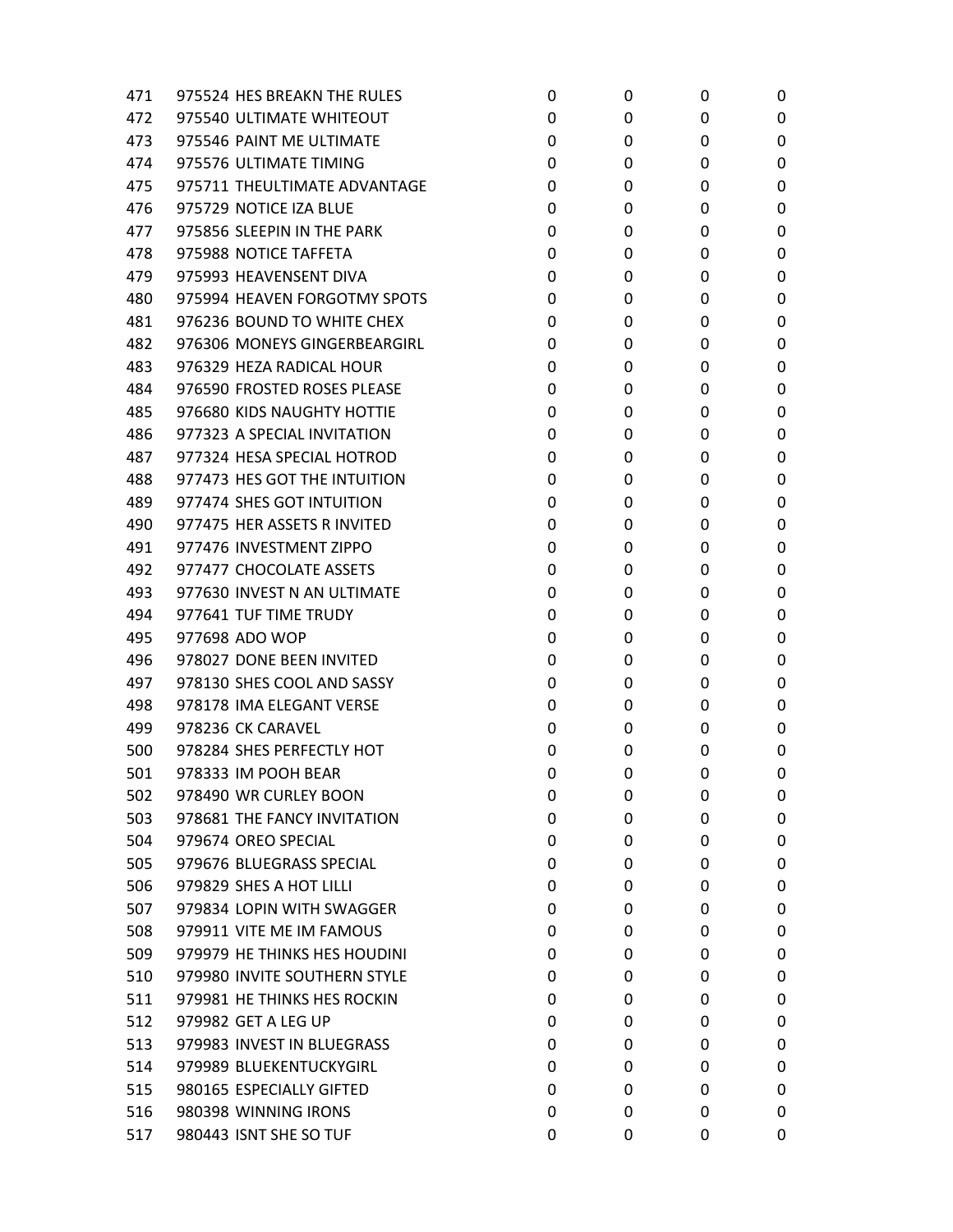| 471 | 975524 HES BREAKN THE RULES  | 0 | 0 | 0 | 0 |
|-----|------------------------------|---|---|---|---|
| 472 | 975540 ULTIMATE WHITEOUT     | 0 | 0 | 0 | 0 |
| 473 | 975546 PAINT ME ULTIMATE     | 0 | 0 | 0 | 0 |
| 474 | 975576 ULTIMATE TIMING       | 0 | 0 | 0 | 0 |
| 475 | 975711 THEULTIMATE ADVANTAGE | 0 | 0 | 0 | 0 |
| 476 | 975729 NOTICE IZA BLUE       | 0 | 0 | 0 | 0 |
| 477 | 975856 SLEEPIN IN THE PARK   | 0 | 0 | 0 | 0 |
| 478 | 975988 NOTICE TAFFETA        | 0 | 0 | 0 | 0 |
| 479 | 975993 HEAVENSENT DIVA       | 0 | 0 | 0 | 0 |
| 480 | 975994 HEAVEN FORGOTMY SPOTS | 0 | 0 | 0 | 0 |
| 481 | 976236 BOUND TO WHITE CHEX   | 0 | 0 | 0 | 0 |
| 482 | 976306 MONEYS GINGERBEARGIRL | 0 | 0 | 0 | 0 |
| 483 | 976329 HEZA RADICAL HOUR     | 0 | 0 | 0 | 0 |
| 484 | 976590 FROSTED ROSES PLEASE  | 0 | 0 | 0 | 0 |
| 485 | 976680 KIDS NAUGHTY HOTTIE   | 0 | 0 | 0 | 0 |
| 486 | 977323 A SPECIAL INVITATION  | 0 | 0 | 0 | 0 |
| 487 | 977324 HESA SPECIAL HOTROD   | 0 | 0 | 0 | 0 |
| 488 | 977473 HES GOT THE INTUITION | 0 | 0 | 0 | 0 |
| 489 | 977474 SHES GOT INTUITION    | 0 | 0 | 0 | 0 |
| 490 | 977475 HER ASSETS R INVITED  | 0 | 0 | 0 | 0 |
| 491 | 977476 INVESTMENT ZIPPO      | 0 | 0 | 0 | 0 |
| 492 | 977477 CHOCOLATE ASSETS      | 0 | 0 | 0 | 0 |
| 493 | 977630 INVEST N AN ULTIMATE  | 0 | 0 | 0 | 0 |
| 494 | 977641 TUF TIME TRUDY        | 0 | 0 | 0 | 0 |
| 495 | 977698 ADO WOP               | 0 | 0 | 0 | 0 |
| 496 | 978027 DONE BEEN INVITED     | 0 | 0 | 0 | 0 |
| 497 | 978130 SHES COOL AND SASSY   | 0 | 0 | 0 | 0 |
| 498 | 978178 IMA ELEGANT VERSE     | 0 | 0 | 0 | 0 |
| 499 | 978236 CK CARAVEL            | 0 | 0 | 0 | 0 |
| 500 | 978284 SHES PERFECTLY HOT    | 0 | 0 | 0 | 0 |
| 501 | 978333 IM POOH BEAR          | 0 | 0 | 0 | 0 |
| 502 | 978490 WR CURLEY BOON        | 0 | 0 | 0 | 0 |
| 503 | 978681 THE FANCY INVITATION  | 0 | 0 | 0 | 0 |
| 504 | 979674 OREO SPECIAL          | 0 | 0 | 0 | 0 |
| 505 | 979676 BLUEGRASS SPECIAL     | 0 | 0 | 0 | 0 |
| 506 | 979829 SHES A HOT LILLI      | 0 | 0 | 0 | 0 |
| 507 | 979834 LOPIN WITH SWAGGER    | 0 | 0 | 0 | 0 |
| 508 | 979911 VITE ME IM FAMOUS     | 0 | 0 | 0 | 0 |
| 509 | 979979 HE THINKS HES HOUDINI | 0 | 0 | 0 | 0 |
| 510 | 979980 INVITE SOUTHERN STYLE | 0 | 0 | 0 | 0 |
| 511 | 979981 HE THINKS HES ROCKIN  | 0 | 0 | 0 | 0 |
| 512 | 979982 GET A LEG UP          | 0 | 0 | 0 | 0 |
| 513 | 979983 INVEST IN BLUEGRASS   | 0 | 0 | 0 | 0 |
| 514 | 979989 BLUEKENTUCKYGIRL      | 0 | 0 | 0 | 0 |
| 515 | 980165 ESPECIALLY GIFTED     | 0 | 0 | 0 | 0 |
| 516 | 980398 WINNING IRONS         | 0 | 0 | 0 | 0 |
| 517 | 980443 ISNT SHE SO TUF       | 0 | 0 | 0 | 0 |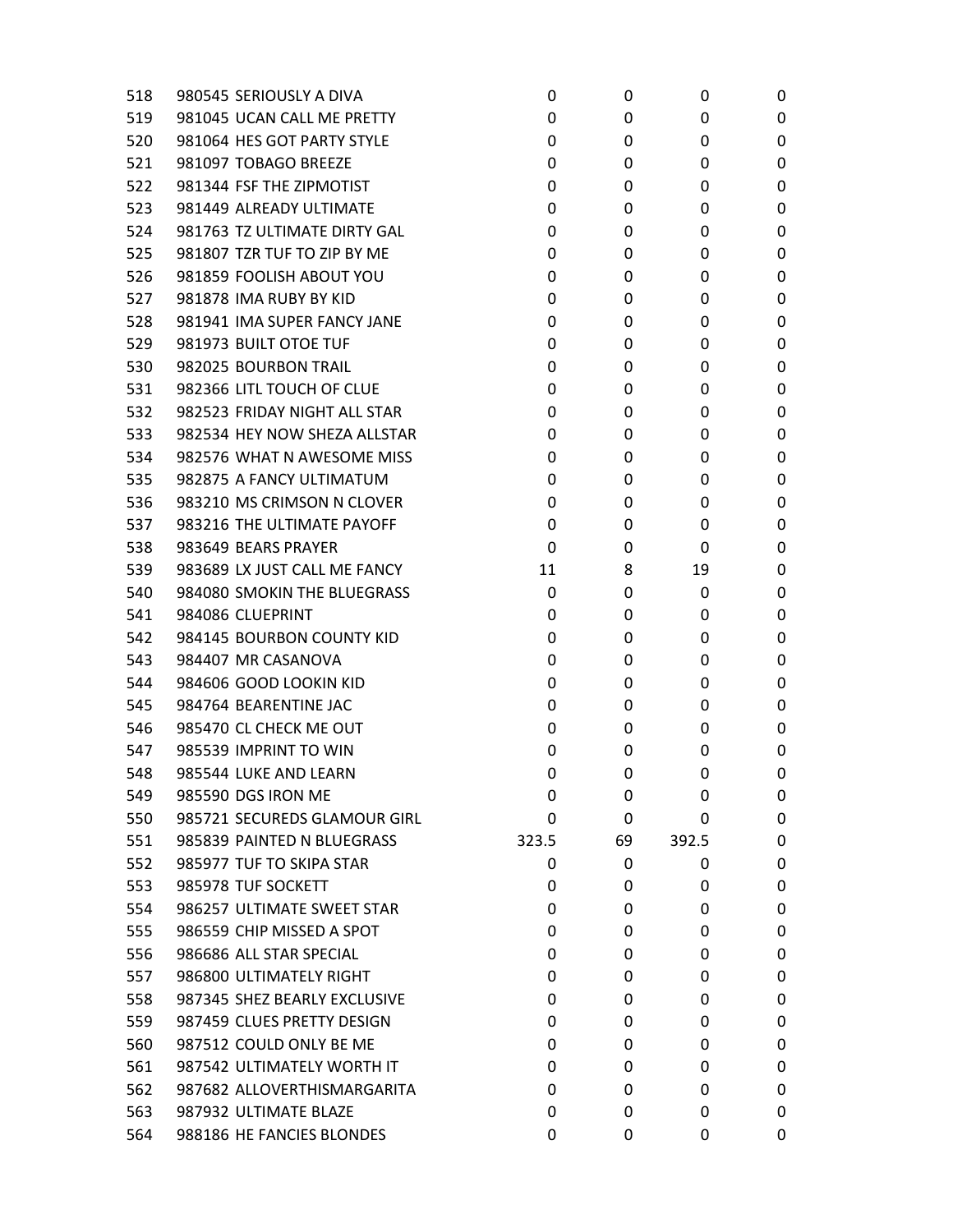| 518 | 980545 SERIOUSLY A DIVA      | 0     | 0  | 0     | 0 |
|-----|------------------------------|-------|----|-------|---|
| 519 | 981045 UCAN CALL ME PRETTY   | 0     | 0  | 0     | 0 |
| 520 | 981064 HES GOT PARTY STYLE   | 0     | 0  | 0     | 0 |
| 521 | 981097 TOBAGO BREEZE         | 0     | 0  | 0     | 0 |
| 522 | 981344 FSF THE ZIPMOTIST     | 0     | 0  | 0     | 0 |
| 523 | 981449 ALREADY ULTIMATE      | 0     | 0  | 0     | 0 |
| 524 | 981763 TZ ULTIMATE DIRTY GAL | 0     | 0  | 0     | 0 |
| 525 | 981807 TZR TUF TO ZIP BY ME  | 0     | 0  | 0     | 0 |
| 526 | 981859 FOOLISH ABOUT YOU     | 0     | 0  | 0     | 0 |
| 527 | 981878 IMA RUBY BY KID       | 0     | 0  | 0     | 0 |
| 528 | 981941 IMA SUPER FANCY JANE  | 0     | 0  | 0     | 0 |
| 529 | 981973 BUILT OTOE TUF        | 0     | 0  | 0     | 0 |
| 530 | 982025 BOURBON TRAIL         | 0     | 0  | 0     | 0 |
| 531 | 982366 LITL TOUCH OF CLUE    | 0     | 0  | 0     | 0 |
| 532 | 982523 FRIDAY NIGHT ALL STAR | 0     | 0  | 0     | 0 |
| 533 | 982534 HEY NOW SHEZA ALLSTAR | 0     | 0  | 0     | 0 |
| 534 | 982576 WHAT N AWESOME MISS   | 0     | 0  | 0     | 0 |
| 535 | 982875 A FANCY ULTIMATUM     | 0     | 0  | 0     | 0 |
| 536 | 983210 MS CRIMSON N CLOVER   | 0     | 0  | 0     | 0 |
| 537 | 983216 THE ULTIMATE PAYOFF   | 0     | 0  | 0     | 0 |
| 538 | 983649 BEARS PRAYER          | 0     | 0  | 0     | 0 |
| 539 | 983689 LX JUST CALL ME FANCY | 11    | 8  | 19    | 0 |
| 540 | 984080 SMOKIN THE BLUEGRASS  | 0     | 0  | 0     | 0 |
| 541 | 984086 CLUEPRINT             | 0     | 0  | 0     | 0 |
| 542 | 984145 BOURBON COUNTY KID    | 0     | 0  | 0     | 0 |
| 543 | 984407 MR CASANOVA           | 0     | 0  | 0     | 0 |
| 544 | 984606 GOOD LOOKIN KID       | 0     | 0  | 0     | 0 |
| 545 | 984764 BEARENTINE JAC        | 0     | 0  | 0     | 0 |
| 546 | 985470 CL CHECK ME OUT       | 0     | 0  | 0     | 0 |
| 547 | 985539 IMPRINT TO WIN        | 0     | 0  | 0     | 0 |
| 548 | 985544 LUKE AND LEARN        | 0     | 0  | 0     | 0 |
| 549 | 985590 DGS IRON ME           | 0     | 0  | 0     | 0 |
| 550 | 985721 SECUREDS GLAMOUR GIRL | 0     | 0  | 0     | 0 |
| 551 | 985839 PAINTED N BLUEGRASS   | 323.5 | 69 | 392.5 | 0 |
| 552 | 985977 TUF TO SKIPA STAR     | 0     | 0  | 0     | 0 |
| 553 | 985978 TUF SOCKETT           | 0     | 0  | 0     | 0 |
| 554 | 986257 ULTIMATE SWEET STAR   | 0     | 0  | 0     | 0 |
| 555 | 986559 CHIP MISSED A SPOT    | 0     | 0  | 0     | 0 |
| 556 | 986686 ALL STAR SPECIAL      | 0     | 0  | 0     | 0 |
| 557 | 986800 ULTIMATELY RIGHT      | 0     | 0  | 0     | 0 |
| 558 | 987345 SHEZ BEARLY EXCLUSIVE | 0     | 0  | 0     | 0 |
| 559 | 987459 CLUES PRETTY DESIGN   | 0     | 0  | 0     | 0 |
| 560 | 987512 COULD ONLY BE ME      | 0     | 0  | 0     | 0 |
| 561 | 987542 ULTIMATELY WORTH IT   | 0     | 0  | 0     | 0 |
| 562 | 987682 ALLOVERTHISMARGARITA  | 0     | 0  | 0     | 0 |
| 563 | 987932 ULTIMATE BLAZE        | 0     | 0  | 0     | 0 |
| 564 | 988186 HE FANCIES BLONDES    | 0     | 0  | 0     | 0 |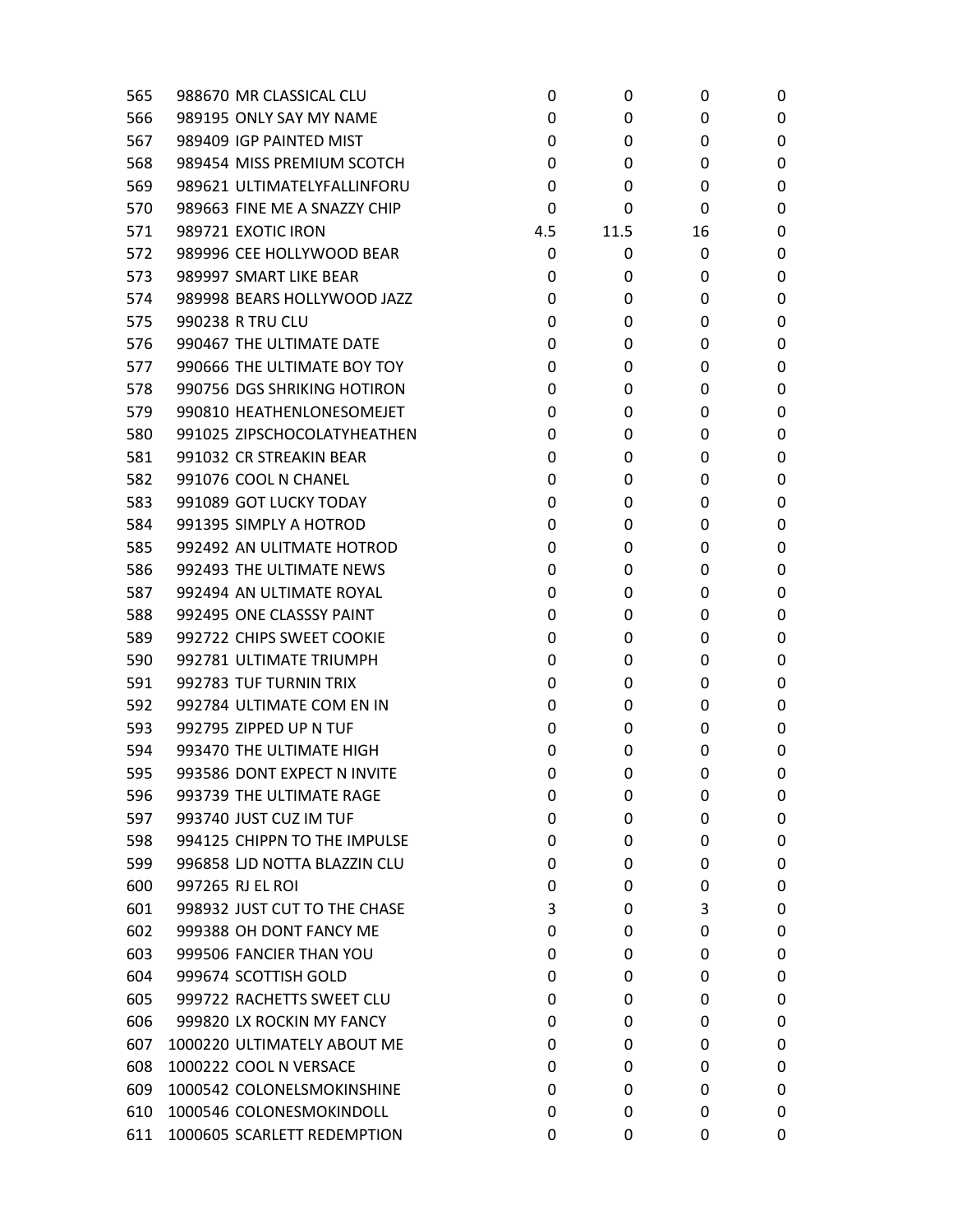| 565 | 988670 MR CLASSICAL CLU      | 0   | 0    | 0  | 0 |
|-----|------------------------------|-----|------|----|---|
| 566 | 989195 ONLY SAY MY NAME      | 0   | 0    | 0  | 0 |
| 567 | 989409 IGP PAINTED MIST      | 0   | 0    | 0  | 0 |
| 568 | 989454 MISS PREMIUM SCOTCH   | 0   | 0    | 0  | 0 |
| 569 | 989621 ULTIMATELYFALLINFORU  | 0   | 0    | 0  | 0 |
| 570 | 989663 FINE ME A SNAZZY CHIP | 0   | 0    | 0  | 0 |
| 571 | 989721 EXOTIC IRON           | 4.5 | 11.5 | 16 | 0 |
| 572 | 989996 CEE HOLLYWOOD BEAR    | 0   | 0    | 0  | 0 |
| 573 | 989997 SMART LIKE BEAR       | 0   | 0    | 0  | 0 |
| 574 | 989998 BEARS HOLLYWOOD JAZZ  | 0   | 0    | 0  | 0 |
| 575 | 990238 R TRU CLU             | 0   | 0    | 0  | 0 |
| 576 | 990467 THE ULTIMATE DATE     | 0   | 0    | 0  | 0 |
| 577 | 990666 THE ULTIMATE BOY TOY  | 0   | 0    | 0  | 0 |
| 578 | 990756 DGS SHRIKING HOTIRON  | 0   | 0    | 0  | 0 |
| 579 | 990810 HEATHENLONESOMEJET    | 0   | 0    | 0  | 0 |
| 580 | 991025 ZIPSCHOCOLATYHEATHEN  | 0   | 0    | 0  | 0 |
| 581 | 991032 CR STREAKIN BEAR      | 0   | 0    | 0  | 0 |
| 582 | 991076 COOL N CHANEL         | 0   | 0    | 0  | 0 |
| 583 | 991089 GOT LUCKY TODAY       | 0   | 0    | 0  | 0 |
| 584 | 991395 SIMPLY A HOTROD       | 0   | 0    | 0  | 0 |
| 585 | 992492 AN ULITMATE HOTROD    | 0   | 0    | 0  | 0 |
| 586 | 992493 THE ULTIMATE NEWS     | 0   | 0    | 0  | 0 |
| 587 | 992494 AN ULTIMATE ROYAL     | 0   | 0    | 0  | 0 |
| 588 | 992495 ONE CLASSSY PAINT     | 0   | 0    | 0  | 0 |
| 589 | 992722 CHIPS SWEET COOKIE    | 0   | 0    | 0  | 0 |
| 590 | 992781 ULTIMATE TRIUMPH      | 0   | 0    | 0  | 0 |
| 591 | 992783 TUF TURNIN TRIX       | 0   | 0    | 0  | 0 |
| 592 | 992784 ULTIMATE COM EN IN    | 0   | 0    | 0  | 0 |
| 593 | 992795 ZIPPED UP N TUF       | 0   | 0    | 0  | 0 |
| 594 | 993470 THE ULTIMATE HIGH     | 0   | 0    | 0  | 0 |
| 595 | 993586 DONT EXPECT N INVITE  | 0   | 0    | 0  | 0 |
| 596 | 993739 THE ULTIMATE RAGE     | 0   | 0    | 0  | 0 |
| 597 | 993740 JUST CUZ IM TUF       | 0   | 0    | 0  | 0 |
| 598 | 994125 CHIPPN TO THE IMPULSE | 0   | 0    | 0  | 0 |
| 599 | 996858 LJD NOTTA BLAZZIN CLU | 0   | 0    | 0  | 0 |
| 600 | 997265 RJ EL ROI             | 0   | 0    | 0  | 0 |
| 601 | 998932 JUST CUT TO THE CHASE | 3   | 0    | 3  | 0 |
| 602 | 999388 OH DONT FANCY ME      | 0   | 0    | 0  | 0 |
| 603 | 999506 FANCIER THAN YOU      | 0   | 0    | 0  | 0 |
| 604 | 999674 SCOTTISH GOLD         | 0   | 0    | 0  | 0 |
| 605 | 999722 RACHETTS SWEET CLU    | 0   | 0    | 0  | 0 |
| 606 | 999820 LX ROCKIN MY FANCY    | 0   | 0    | 0  | 0 |
| 607 | 1000220 ULTIMATELY ABOUT ME  | 0   | 0    | 0  | 0 |
| 608 | 1000222 COOL N VERSACE       | 0   | 0    | 0  | 0 |
| 609 | 1000542 COLONELSMOKINSHINE   | 0   | 0    | 0  | 0 |
| 610 | 1000546 COLONESMOKINDOLL     | 0   | 0    | 0  | 0 |
| 611 | 1000605 SCARLETT REDEMPTION  | 0   | 0    | 0  | 0 |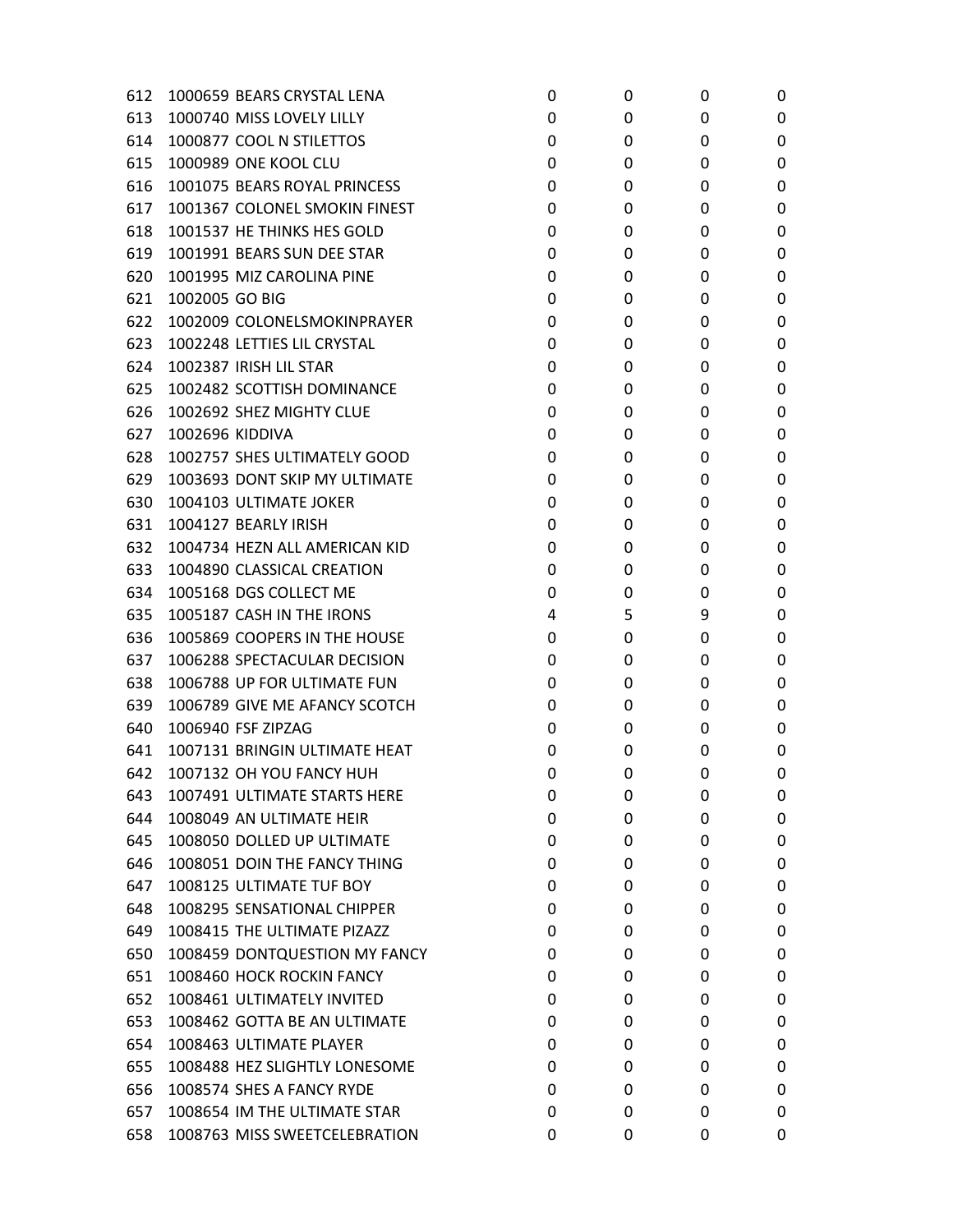| 612 | 1000659 BEARS CRYSTAL LENA    | 0 | 0 | 0 | 0 |
|-----|-------------------------------|---|---|---|---|
| 613 | 1000740 MISS LOVELY LILLY     | 0 | 0 | 0 | 0 |
| 614 | 1000877 COOL N STILETTOS      | 0 | 0 | 0 | 0 |
| 615 | 1000989 ONE KOOL CLU          | 0 | 0 | 0 | 0 |
| 616 | 1001075 BEARS ROYAL PRINCESS  | 0 | 0 | 0 | 0 |
| 617 | 1001367 COLONEL SMOKIN FINEST | 0 | 0 | 0 | 0 |
| 618 | 1001537 HE THINKS HES GOLD    | 0 | 0 | 0 | 0 |
| 619 | 1001991 BEARS SUN DEE STAR    | 0 | 0 | 0 | 0 |
| 620 | 1001995 MIZ CAROLINA PINE     | 0 | 0 | 0 | 0 |
| 621 | 1002005 GO BIG                | 0 | 0 | 0 | 0 |
| 622 | 1002009 COLONELSMOKINPRAYER   | 0 | 0 | 0 | 0 |
| 623 | 1002248 LETTIES LIL CRYSTAL   | 0 | 0 | 0 | 0 |
| 624 | 1002387 IRISH LIL STAR        | 0 | 0 | 0 | 0 |
| 625 | 1002482 SCOTTISH DOMINANCE    | 0 | 0 | 0 | 0 |
| 626 | 1002692 SHEZ MIGHTY CLUE      | 0 | 0 | 0 | 0 |
| 627 | <b>1002696 KIDDIVA</b>        | 0 | 0 | 0 | 0 |
| 628 | 1002757 SHES ULTIMATELY GOOD  | 0 | 0 | 0 | 0 |
| 629 | 1003693 DONT SKIP MY ULTIMATE | 0 | 0 | 0 | 0 |
| 630 | 1004103 ULTIMATE JOKER        | 0 | 0 | 0 | 0 |
| 631 | 1004127 BEARLY IRISH          | 0 | 0 | 0 | 0 |
| 632 | 1004734 HEZN ALL AMERICAN KID | 0 | 0 | 0 | 0 |
| 633 | 1004890 CLASSICAL CREATION    | 0 | 0 | 0 | 0 |
| 634 | 1005168 DGS COLLECT ME        | 0 | 0 | 0 | 0 |
| 635 | 1005187 CASH IN THE IRONS     | 4 | 5 | 9 | 0 |
| 636 | 1005869 COOPERS IN THE HOUSE  | 0 | 0 | 0 | 0 |
| 637 | 1006288 SPECTACULAR DECISION  | 0 | 0 | 0 | 0 |
| 638 | 1006788 UP FOR ULTIMATE FUN   | 0 | 0 | 0 | 0 |
| 639 | 1006789 GIVE ME AFANCY SCOTCH | 0 | 0 | 0 | 0 |
| 640 | 1006940 FSF ZIPZAG            | 0 | 0 | 0 | 0 |
| 641 | 1007131 BRINGIN ULTIMATE HEAT | 0 | 0 | 0 | 0 |
| 642 | 1007132 OH YOU FANCY HUH      | 0 | 0 | 0 | 0 |
| 643 | 1007491 ULTIMATE STARTS HERE  | 0 | 0 | 0 | 0 |
| 644 | 1008049 AN ULTIMATE HEIR      | 0 | 0 | 0 | 0 |
| 645 | 1008050 DOLLED UP ULTIMATE    | 0 | 0 | 0 | 0 |
| 646 | 1008051 DOIN THE FANCY THING  | 0 | 0 | 0 | 0 |
| 647 | 1008125 ULTIMATE TUF BOY      | 0 | 0 | 0 | 0 |
| 648 | 1008295 SENSATIONAL CHIPPER   | 0 | 0 | 0 | 0 |
| 649 | 1008415 THE ULTIMATE PIZAZZ   | 0 | 0 | 0 | 0 |
| 650 | 1008459 DONTQUESTION MY FANCY | 0 | 0 | 0 | 0 |
| 651 | 1008460 HOCK ROCKIN FANCY     | 0 | 0 | 0 | 0 |
| 652 | 1008461 ULTIMATELY INVITED    | 0 | 0 | 0 | 0 |
| 653 | 1008462 GOTTA BE AN ULTIMATE  | 0 | 0 | 0 | 0 |
| 654 | 1008463 ULTIMATE PLAYER       | 0 | 0 | 0 | 0 |
| 655 | 1008488 HEZ SLIGHTLY LONESOME | 0 | 0 | 0 | 0 |
| 656 | 1008574 SHES A FANCY RYDE     | 0 | 0 | 0 | 0 |
| 657 | 1008654 IM THE ULTIMATE STAR  | 0 | 0 | 0 | 0 |
| 658 | 1008763 MISS SWEETCELEBRATION | 0 | 0 | 0 | 0 |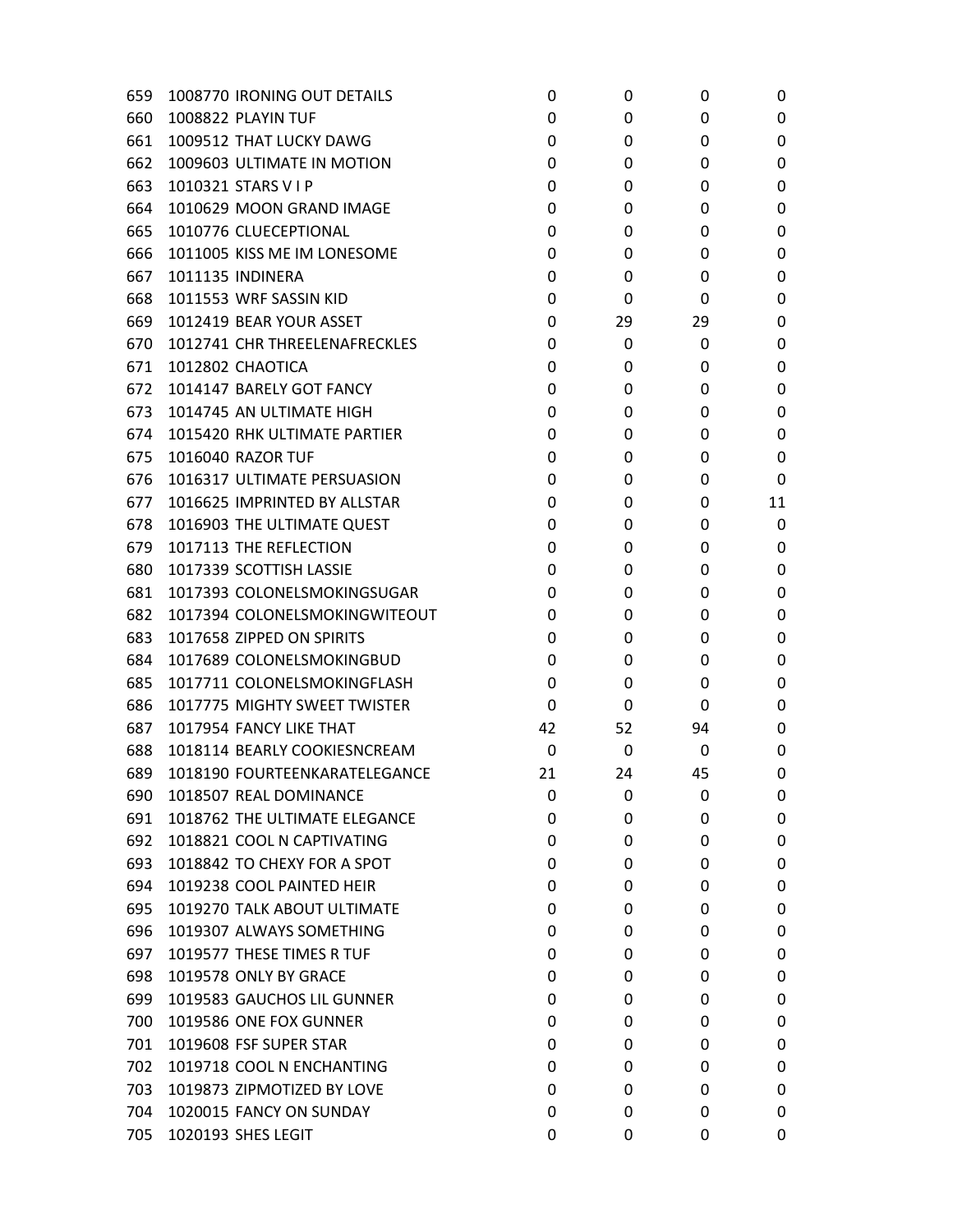| 659 | 1008770 IRONING OUT DETAILS   | 0  | 0  | 0  | 0  |
|-----|-------------------------------|----|----|----|----|
| 660 | 1008822 PLAYIN TUF            | 0  | 0  | 0  | 0  |
| 661 | 1009512 THAT LUCKY DAWG       | 0  | 0  | 0  | 0  |
| 662 | 1009603 ULTIMATE IN MOTION    | 0  | 0  | 0  | 0  |
| 663 | 1010321 STARS V I P           | 0  | 0  | 0  | 0  |
| 664 | 1010629 MOON GRAND IMAGE      | 0  | 0  | 0  | 0  |
| 665 | 1010776 CLUECEPTIONAL         | 0  | 0  | 0  | 0  |
| 666 | 1011005 KISS ME IM LONESOME   | 0  | 0  | 0  | 0  |
| 667 | 1011135 INDINERA              | 0  | 0  | 0  | 0  |
| 668 | 1011553 WRF SASSIN KID        | 0  | 0  | 0  | 0  |
| 669 | 1012419 BEAR YOUR ASSET       | 0  | 29 | 29 | 0  |
| 670 | 1012741 CHR THREELENAFRECKLES | 0  | 0  | 0  | 0  |
| 671 | 1012802 CHAOTICA              | 0  | 0  | 0  | 0  |
| 672 | 1014147 BARELY GOT FANCY      | 0  | 0  | 0  | 0  |
| 673 | 1014745 AN ULTIMATE HIGH      | 0  | 0  | 0  | 0  |
| 674 | 1015420 RHK ULTIMATE PARTIER  | 0  | 0  | 0  | 0  |
| 675 | 1016040 RAZOR TUF             | 0  | 0  | 0  | 0  |
| 676 | 1016317 ULTIMATE PERSUASION   | 0  | 0  | 0  | 0  |
| 677 | 1016625 IMPRINTED BY ALLSTAR  | 0  | 0  | 0  | 11 |
| 678 | 1016903 THE ULTIMATE QUEST    | 0  | 0  | 0  | 0  |
| 679 | 1017113 THE REFLECTION        | 0  | 0  | 0  | 0  |
| 680 | 1017339 SCOTTISH LASSIE       | 0  | 0  | 0  | 0  |
| 681 | 1017393 COLONELSMOKINGSUGAR   | 0  | 0  | 0  | 0  |
| 682 | 1017394 COLONELSMOKINGWITEOUT | 0  | 0  | 0  | 0  |
| 683 | 1017658 ZIPPED ON SPIRITS     | 0  | 0  | 0  | 0  |
| 684 | 1017689 COLONELSMOKINGBUD     | 0  | 0  | 0  | 0  |
| 685 | 1017711 COLONELSMOKINGFLASH   | 0  | 0  | 0  | 0  |
| 686 | 1017775 MIGHTY SWEET TWISTER  | 0  | 0  | 0  | 0  |
| 687 | 1017954 FANCY LIKE THAT       | 42 | 52 | 94 | 0  |
| 688 | 1018114 BEARLY COOKIESNCREAM  | 0  | 0  | 0  | 0  |
| 689 | 1018190 FOURTEENKARATELEGANCE | 21 | 24 | 45 | 0  |
| 690 | 1018507 REAL DOMINANCE        | 0  | 0  | 0  | 0  |
| 691 | 1018762 THE ULTIMATE ELEGANCE | 0  | 0  | 0  | 0  |
| 692 | 1018821 COOL N CAPTIVATING    | 0  | 0  | 0  | 0  |
| 693 | 1018842 TO CHEXY FOR A SPOT   | 0  | 0  | 0  | 0  |
| 694 | 1019238 COOL PAINTED HEIR     | 0  | 0  | 0  | 0  |
| 695 | 1019270 TALK ABOUT ULTIMATE   | 0  | 0  | 0  | 0  |
| 696 | 1019307 ALWAYS SOMETHING      | 0  | 0  | 0  | 0  |
| 697 | 1019577 THESE TIMES R TUF     | 0  | 0  | 0  | 0  |
| 698 | 1019578 ONLY BY GRACE         | 0  | 0  | 0  | 0  |
| 699 | 1019583 GAUCHOS LIL GUNNER    | 0  | 0  | 0  | 0  |
| 700 | 1019586 ONE FOX GUNNER        | 0  | 0  | 0  | 0  |
| 701 | 1019608 FSF SUPER STAR        | 0  | 0  | 0  | 0  |
| 702 | 1019718 COOL N ENCHANTING     | 0  | 0  | 0  | 0  |
| 703 | 1019873 ZIPMOTIZED BY LOVE    | 0  | 0  | 0  | 0  |
| 704 | 1020015 FANCY ON SUNDAY       | 0  | 0  | 0  | 0  |
| 705 | 1020193 SHES LEGIT            | 0  | 0  | 0  | 0  |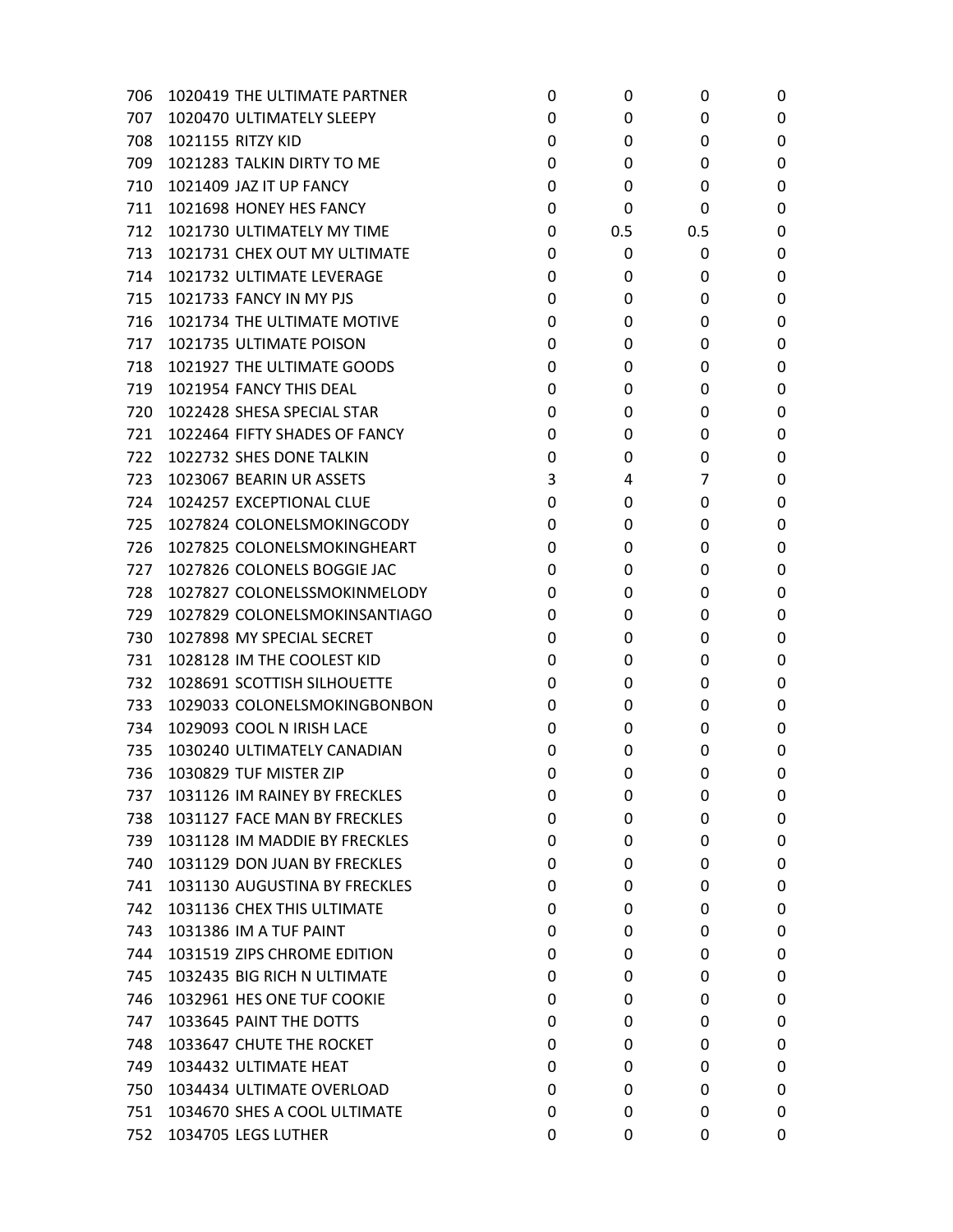| 706 | 1020419 THE ULTIMATE PARTNER  | 0 | 0   | 0   | 0 |
|-----|-------------------------------|---|-----|-----|---|
| 707 | 1020470 ULTIMATELY SLEEPY     | 0 | 0   | 0   | 0 |
| 708 | 1021155 RITZY KID             | 0 | 0   | 0   | 0 |
| 709 | 1021283 TALKIN DIRTY TO ME    | 0 | 0   | 0   | 0 |
| 710 | 1021409 JAZ IT UP FANCY       | 0 | 0   | 0   | 0 |
| 711 | 1021698 HONEY HES FANCY       | 0 | 0   | 0   | 0 |
| 712 | 1021730 ULTIMATELY MY TIME    | 0 | 0.5 | 0.5 | 0 |
| 713 | 1021731 CHEX OUT MY ULTIMATE  | 0 | 0   | 0   | 0 |
| 714 | 1021732 ULTIMATE LEVERAGE     | 0 | 0   | 0   | 0 |
| 715 | 1021733 FANCY IN MY PJS       | 0 | 0   | 0   | 0 |
| 716 | 1021734 THE ULTIMATE MOTIVE   | 0 | 0   | 0   | 0 |
| 717 | 1021735 ULTIMATE POISON       | 0 | 0   | 0   | 0 |
| 718 | 1021927 THE ULTIMATE GOODS    | 0 | 0   | 0   | 0 |
| 719 | 1021954 FANCY THIS DEAL       | 0 | 0   | 0   | 0 |
| 720 | 1022428 SHESA SPECIAL STAR    | 0 | 0   | 0   | 0 |
| 721 | 1022464 FIFTY SHADES OF FANCY | 0 | 0   | 0   | 0 |
| 722 | 1022732 SHES DONE TALKIN      | 0 | 0   | 0   | 0 |
| 723 | 1023067 BEARIN UR ASSETS      | 3 | 4   | 7   | 0 |
| 724 | 1024257 EXCEPTIONAL CLUE      | 0 | 0   | 0   | 0 |
| 725 | 1027824 COLONELSMOKINGCODY    | 0 | 0   | 0   | 0 |
| 726 | 1027825 COLONELSMOKINGHEART   | 0 | 0   | 0   | 0 |
| 727 | 1027826 COLONELS BOGGIE JAC   | 0 | 0   | 0   | 0 |
| 728 | 1027827 COLONELSSMOKINMELODY  | 0 | 0   | 0   | 0 |
| 729 | 1027829 COLONELSMOKINSANTIAGO | 0 | 0   | 0   | 0 |
| 730 | 1027898 MY SPECIAL SECRET     | 0 | 0   | 0   | 0 |
| 731 | 1028128 IM THE COOLEST KID    | 0 | 0   | 0   | 0 |
| 732 | 1028691 SCOTTISH SILHOUETTE   | 0 | 0   | 0   | 0 |
| 733 | 1029033 COLONELSMOKINGBONBON  | 0 | 0   | 0   | 0 |
| 734 | 1029093 COOL N IRISH LACE     | 0 | 0   | 0   | 0 |
| 735 | 1030240 ULTIMATELY CANADIAN   | 0 | 0   | 0   | 0 |
| 736 | 1030829 TUF MISTER ZIP        | 0 | 0   | 0   | 0 |
| 737 | 1031126 IM RAINEY BY FRECKLES | 0 | 0   | 0   | 0 |
| 738 | 1031127 FACE MAN BY FRECKLES  | 0 | 0   | 0   | 0 |
| 739 | 1031128 IM MADDIE BY FRECKLES | 0 | 0   | 0   | 0 |
| 740 | 1031129 DON JUAN BY FRECKLES  | 0 | 0   | 0   | 0 |
| 741 | 1031130 AUGUSTINA BY FRECKLES | 0 | 0   | 0   | 0 |
| 742 | 1031136 CHEX THIS ULTIMATE    | 0 | 0   | 0   | 0 |
| 743 | 1031386 IM A TUF PAINT        | 0 | 0   | 0   | 0 |
| 744 | 1031519 ZIPS CHROME EDITION   | 0 | 0   | 0   | 0 |
| 745 | 1032435 BIG RICH N ULTIMATE   | 0 | 0   | 0   | 0 |
| 746 | 1032961 HES ONE TUF COOKIE    | 0 | 0   | 0   | 0 |
| 747 | 1033645 PAINT THE DOTTS       | 0 | 0   | 0   | 0 |
| 748 | 1033647 CHUTE THE ROCKET      | 0 | 0   | 0   | 0 |
| 749 | 1034432 ULTIMATE HEAT         | 0 | 0   | 0   | 0 |
| 750 | 1034434 ULTIMATE OVERLOAD     | 0 | 0   | 0   | 0 |
| 751 | 1034670 SHES A COOL ULTIMATE  | 0 | 0   | 0   | 0 |
| 752 | 1034705 LEGS LUTHER           | 0 | 0   | 0   | 0 |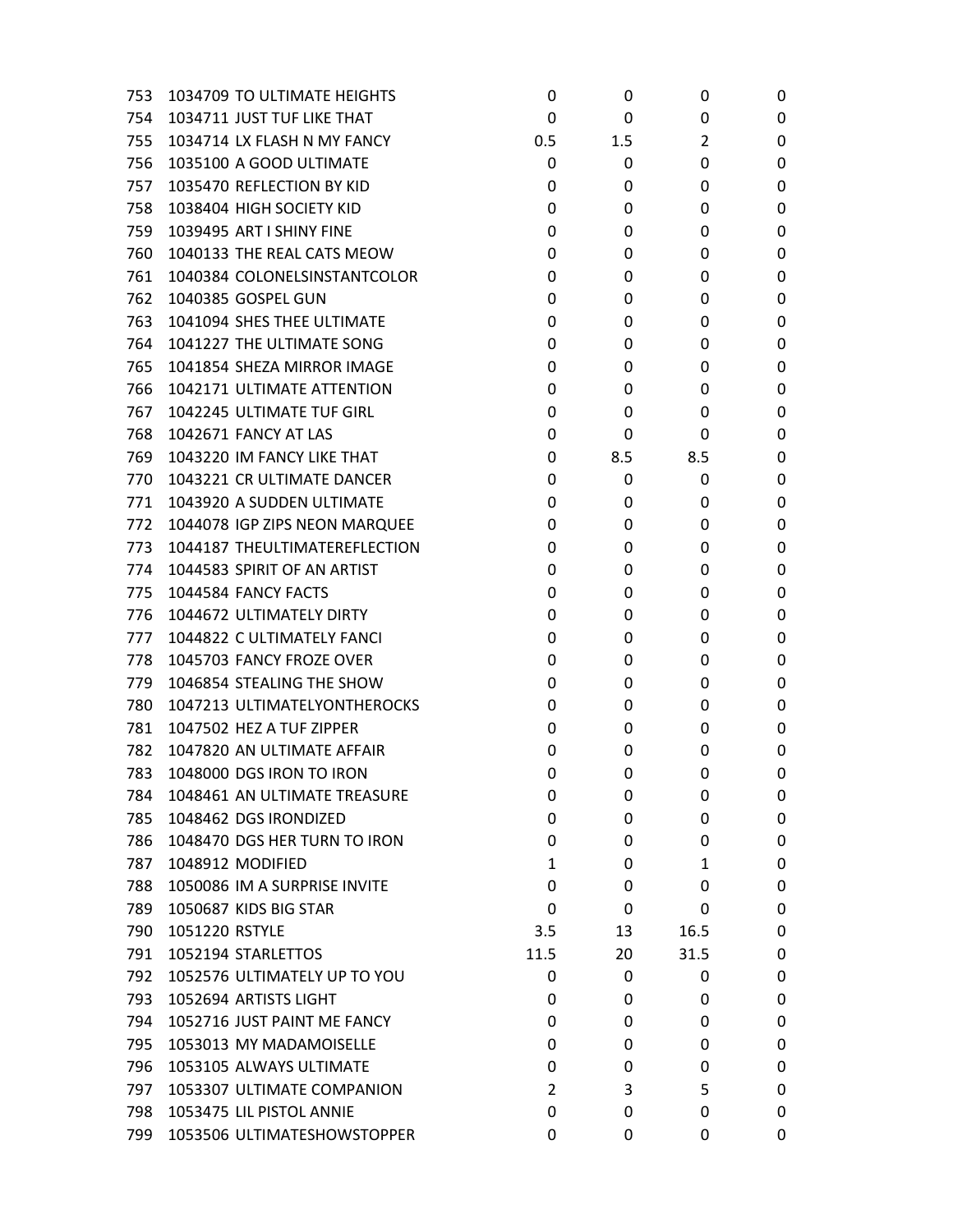| 753 | 1034709 TO ULTIMATE HEIGHTS   | 0    | 0   | 0    | 0 |
|-----|-------------------------------|------|-----|------|---|
| 754 | 1034711 JUST TUF LIKE THAT    | 0    | 0   | 0    | 0 |
| 755 | 1034714 LX FLASH N MY FANCY   | 0.5  | 1.5 | 2    | 0 |
| 756 | 1035100 A GOOD ULTIMATE       | 0    | 0   | 0    | 0 |
| 757 | 1035470 REFLECTION BY KID     | 0    | 0   | 0    | 0 |
| 758 | 1038404 HIGH SOCIETY KID      | 0    | 0   | 0    | 0 |
| 759 | 1039495 ART I SHINY FINE      | 0    | 0   | 0    | 0 |
| 760 | 1040133 THE REAL CATS MEOW    | 0    | 0   | 0    | 0 |
| 761 | 1040384 COLONELSINSTANTCOLOR  | 0    | 0   | 0    | 0 |
| 762 | 1040385 GOSPEL GUN            | 0    | 0   | 0    | 0 |
| 763 | 1041094 SHES THEE ULTIMATE    | 0    | 0   | 0    | 0 |
| 764 | 1041227 THE ULTIMATE SONG     | 0    | 0   | 0    | 0 |
| 765 | 1041854 SHEZA MIRROR IMAGE    | 0    | 0   | 0    | 0 |
| 766 | 1042171 ULTIMATE ATTENTION    | 0    | 0   | 0    | 0 |
| 767 | 1042245 ULTIMATE TUF GIRL     | 0    | 0   | 0    | 0 |
| 768 | <b>1042671 FANCY AT LAS</b>   | 0    | 0   | 0    | 0 |
| 769 | 1043220 IM FANCY LIKE THAT    | 0    | 8.5 | 8.5  | 0 |
| 770 | 1043221 CR ULTIMATE DANCER    | 0    | 0   | 0    | 0 |
| 771 | 1043920 A SUDDEN ULTIMATE     | 0    | 0   | 0    | 0 |
| 772 | 1044078 IGP ZIPS NEON MARQUEE | 0    | 0   | 0    | 0 |
| 773 | 1044187 THEULTIMATEREFLECTION | 0    | 0   | 0    | 0 |
| 774 | 1044583 SPIRIT OF AN ARTIST   | 0    | 0   | 0    | 0 |
| 775 | 1044584 FANCY FACTS           | 0    | 0   | 0    | 0 |
| 776 | 1044672 ULTIMATELY DIRTY      | 0    | 0   | 0    | 0 |
| 777 | 1044822 C ULTIMATELY FANCI    | 0    | 0   | 0    | 0 |
| 778 | 1045703 FANCY FROZE OVER      | 0    | 0   | 0    | 0 |
| 779 | 1046854 STEALING THE SHOW     | 0    | 0   | 0    | 0 |
| 780 | 1047213 ULTIMATELYONTHEROCKS  | 0    | 0   | 0    | 0 |
| 781 | 1047502 HEZ A TUF ZIPPER      | 0    | 0   | 0    | 0 |
| 782 | 1047820 AN ULTIMATE AFFAIR    | 0    | 0   | 0    | 0 |
| 783 | 1048000 DGS IRON TO IRON      | 0    | 0   | 0    | 0 |
| 784 | 1048461 AN ULTIMATE TREASURE  | 0    | 0   | 0    | 0 |
| 785 | 1048462 DGS IRONDIZED         | 0    | 0   | 0    | 0 |
| 786 | 1048470 DGS HER TURN TO IRON  | 0    | 0   | 0    | 0 |
| 787 | 1048912 MODIFIED              | 1    | 0   | 1    | 0 |
| 788 | 1050086 IM A SURPRISE INVITE  | 0    | 0   | 0    | 0 |
| 789 | 1050687 KIDS BIG STAR         | 0    | 0   | 0    | 0 |
| 790 | 1051220 RSTYLE                | 3.5  | 13  | 16.5 | 0 |
| 791 | 1052194 STARLETTOS            | 11.5 | 20  | 31.5 | 0 |
| 792 | 1052576 ULTIMATELY UP TO YOU  | 0    | 0   | 0    | 0 |
| 793 | 1052694 ARTISTS LIGHT         | 0    | 0   | 0    | 0 |
| 794 | 1052716 JUST PAINT ME FANCY   | 0    | 0   | 0    | 0 |
| 795 | 1053013 MY MADAMOISELLE       | 0    | 0   | 0    | 0 |
| 796 | 1053105 ALWAYS ULTIMATE       | 0    | 0   | 0    | 0 |
| 797 | 1053307 ULTIMATE COMPANION    | 2    | 3   | 5    | 0 |
| 798 | 1053475 LIL PISTOL ANNIE      | 0    | 0   | 0    | 0 |
| 799 | 1053506 ULTIMATESHOWSTOPPER   | 0    | 0   | 0    | 0 |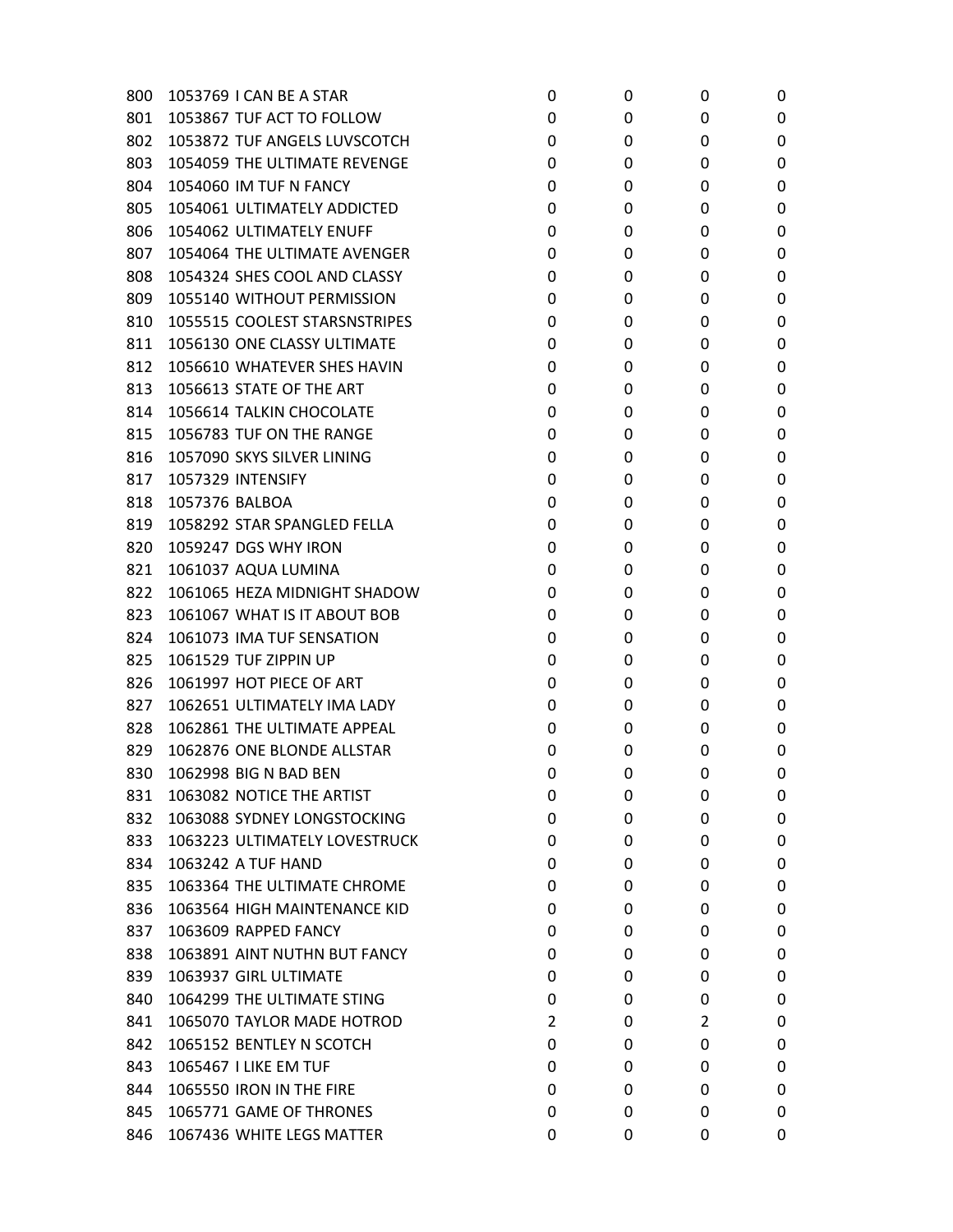| 800 | 1053769 I CAN BE A STAR       | 0              | 0 | 0 | 0 |
|-----|-------------------------------|----------------|---|---|---|
| 801 | 1053867 TUF ACT TO FOLLOW     | 0              | 0 | 0 | 0 |
| 802 | 1053872 TUF ANGELS LUVSCOTCH  | 0              | 0 | 0 | 0 |
| 803 | 1054059 THE ULTIMATE REVENGE  | 0              | 0 | 0 | 0 |
| 804 | 1054060 IM TUF N FANCY        | 0              | 0 | 0 | 0 |
| 805 | 1054061 ULTIMATELY ADDICTED   | 0              | 0 | 0 | 0 |
| 806 | 1054062 ULTIMATELY ENUFF      | 0              | 0 | 0 | 0 |
| 807 | 1054064 THE ULTIMATE AVENGER  | 0              | 0 | 0 | 0 |
| 808 | 1054324 SHES COOL AND CLASSY  | 0              | 0 | 0 | 0 |
| 809 | 1055140 WITHOUT PERMISSION    | 0              | 0 | 0 | 0 |
| 810 | 1055515 COOLEST STARSNSTRIPES | 0              | 0 | 0 | 0 |
| 811 | 1056130 ONE CLASSY ULTIMATE   | 0              | 0 | 0 | 0 |
| 812 | 1056610 WHATEVER SHES HAVIN   | 0              | 0 | 0 | 0 |
| 813 | 1056613 STATE OF THE ART      | 0              | 0 | 0 | 0 |
| 814 | 1056614 TALKIN CHOCOLATE      | 0              | 0 | 0 | 0 |
| 815 | 1056783 TUF ON THE RANGE      | 0              | 0 | 0 | 0 |
| 816 | 1057090 SKYS SILVER LINING    | 0              | 0 | 0 | 0 |
| 817 | 1057329 INTENSIFY             | 0              | 0 | 0 | 0 |
| 818 | 1057376 BALBOA                | 0              | 0 | 0 | 0 |
| 819 | 1058292 STAR SPANGLED FELLA   | 0              | 0 | 0 | 0 |
| 820 | 1059247 DGS WHY IRON          | 0              | 0 | 0 | 0 |
| 821 | 1061037 AQUA LUMINA           | 0              | 0 | 0 | 0 |
| 822 | 1061065 HEZA MIDNIGHT SHADOW  | 0              | 0 | 0 | 0 |
| 823 | 1061067 WHAT IS IT ABOUT BOB  | 0              | 0 | 0 | 0 |
| 824 | 1061073 IMA TUF SENSATION     | 0              | 0 | 0 | 0 |
| 825 | 1061529 TUF ZIPPIN UP         | 0              | 0 | 0 | 0 |
| 826 | 1061997 HOT PIECE OF ART      | 0              | 0 | 0 | 0 |
| 827 | 1062651 ULTIMATELY IMA LADY   | 0              | 0 | 0 | 0 |
| 828 | 1062861 THE ULTIMATE APPEAL   | 0              | 0 | 0 | 0 |
| 829 | 1062876 ONE BLONDE ALLSTAR    | 0              | 0 | 0 | 0 |
| 830 | 1062998 BIG N BAD BEN         | 0              | 0 | 0 | 0 |
| 831 | 1063082 NOTICE THE ARTIST     | 0              | 0 | 0 | 0 |
| 832 | 1063088 SYDNEY LONGSTOCKING   | 0              | 0 | 0 | 0 |
| 833 | 1063223 ULTIMATELY LOVESTRUCK | 0              | 0 | 0 | 0 |
| 834 | 1063242 A TUF HAND            | 0              | 0 | 0 | 0 |
| 835 | 1063364 THE ULTIMATE CHROME   | 0              | 0 | 0 | 0 |
| 836 | 1063564 HIGH MAINTENANCE KID  | 0              | 0 | 0 | 0 |
| 837 | 1063609 RAPPED FANCY          | 0              | 0 | 0 | 0 |
| 838 | 1063891 AINT NUTHN BUT FANCY  | 0              | 0 | 0 | 0 |
| 839 | 1063937 GIRL ULTIMATE         | 0              | 0 | 0 | 0 |
| 840 | 1064299 THE ULTIMATE STING    | 0              | 0 | 0 | 0 |
| 841 | 1065070 TAYLOR MADE HOTROD    | $\overline{2}$ | 0 | 2 | 0 |
| 842 | 1065152 BENTLEY N SCOTCH      | 0              | 0 | 0 | 0 |
| 843 | 1065467 I LIKE EM TUF         | 0              | 0 | 0 | 0 |
| 844 | 1065550 IRON IN THE FIRE      | 0              | 0 | 0 | 0 |
| 845 | 1065771 GAME OF THRONES       | 0              | 0 | 0 | 0 |
| 846 | 1067436 WHITE LEGS MATTER     | 0              | 0 | 0 | 0 |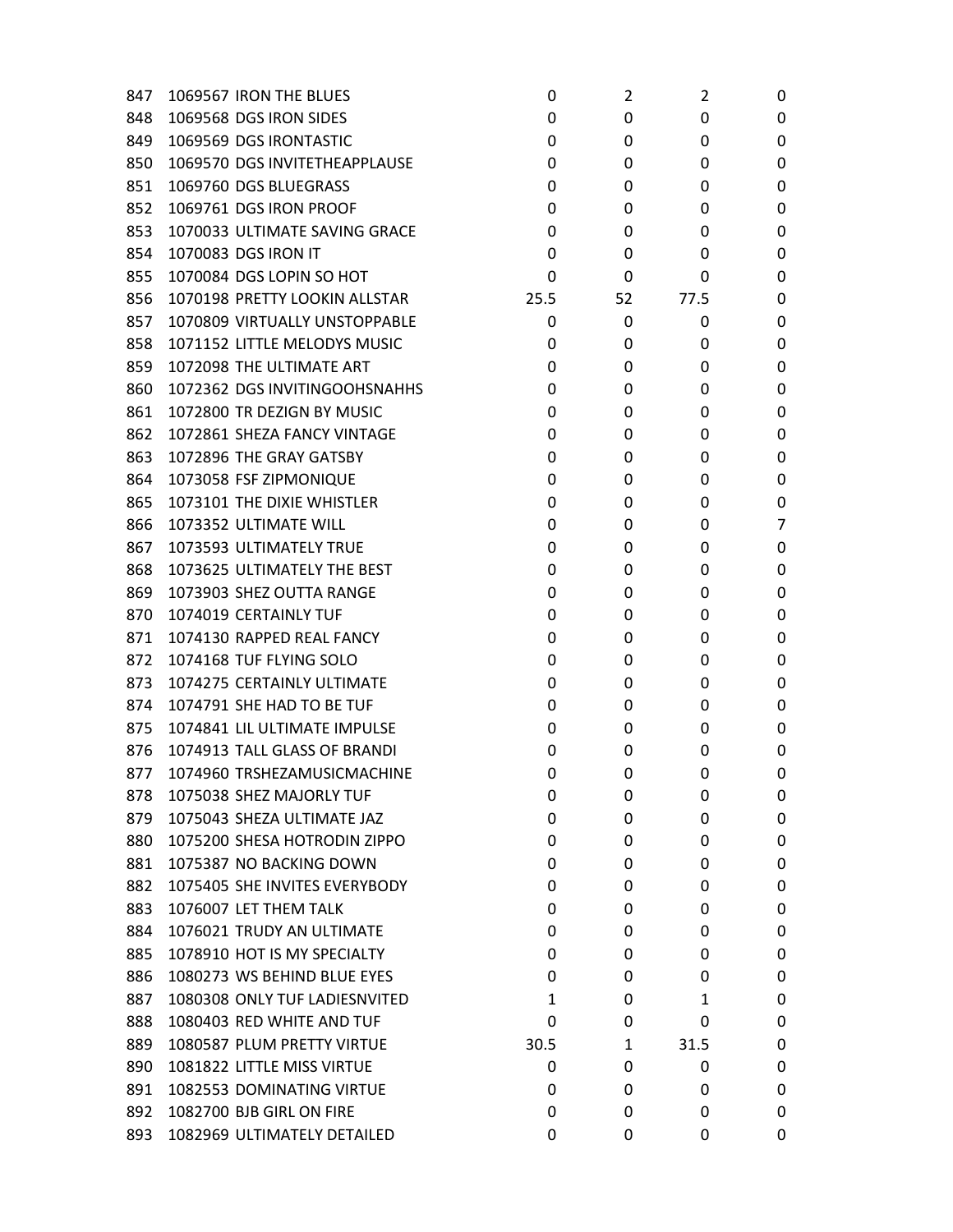| 847 | 1069567 IRON THE BLUES        | 0    | 2  | 2    | 0 |
|-----|-------------------------------|------|----|------|---|
| 848 | 1069568 DGS IRON SIDES        | 0    | 0  | 0    | 0 |
| 849 | 1069569 DGS IRONTASTIC        | 0    | 0  | 0    | 0 |
| 850 | 1069570 DGS INVITETHEAPPLAUSE | 0    | 0  | 0    | 0 |
| 851 | 1069760 DGS BLUEGRASS         | 0    | 0  | 0    | 0 |
| 852 | 1069761 DGS IRON PROOF        | 0    | 0  | 0    | 0 |
| 853 | 1070033 ULTIMATE SAVING GRACE | 0    | 0  | 0    | 0 |
| 854 | 1070083 DGS IRON IT           | 0    | 0  | 0    | 0 |
| 855 | 1070084 DGS LOPIN SO HOT      | 0    | 0  | 0    | 0 |
| 856 | 1070198 PRETTY LOOKIN ALLSTAR | 25.5 | 52 | 77.5 | 0 |
| 857 | 1070809 VIRTUALLY UNSTOPPABLE | 0    | 0  | 0    | 0 |
| 858 | 1071152 LITTLE MELODYS MUSIC  | 0    | 0  | 0    | 0 |
| 859 | 1072098 THE ULTIMATE ART      | 0    | 0  | 0    | 0 |
| 860 | 1072362 DGS INVITINGOOHSNAHHS | 0    | 0  | 0    | 0 |
| 861 | 1072800 TR DEZIGN BY MUSIC    | 0    | 0  | 0    | 0 |
| 862 | 1072861 SHEZA FANCY VINTAGE   | 0    | 0  | 0    | 0 |
| 863 | 1072896 THE GRAY GATSBY       | 0    | 0  | 0    | 0 |
| 864 | 1073058 FSF ZIPMONIQUE        | 0    | 0  | 0    | 0 |
| 865 | 1073101 THE DIXIE WHISTLER    | 0    | 0  | 0    | 0 |
| 866 | 1073352 ULTIMATE WILL         | 0    | 0  | 0    | 7 |
| 867 | 1073593 ULTIMATELY TRUE       | 0    | 0  | 0    | 0 |
| 868 | 1073625 ULTIMATELY THE BEST   | 0    | 0  | 0    | 0 |
| 869 | 1073903 SHEZ OUTTA RANGE      | 0    | 0  | 0    | 0 |
| 870 | 1074019 CERTAINLY TUF         | 0    | 0  | 0    | 0 |
| 871 | 1074130 RAPPED REAL FANCY     | 0    | 0  | 0    | 0 |
| 872 | 1074168 TUF FLYING SOLO       | 0    | 0  | 0    | 0 |
| 873 | 1074275 CERTAINLY ULTIMATE    | 0    | 0  | 0    | 0 |
| 874 | 1074791 SHE HAD TO BE TUF     | 0    | 0  | 0    | 0 |
| 875 | 1074841 LIL ULTIMATE IMPULSE  | 0    | 0  | 0    | 0 |
| 876 | 1074913 TALL GLASS OF BRANDI  | 0    | 0  | 0    | 0 |
| 877 | 1074960 TRSHEZAMUSICMACHINE   | 0    | 0  | 0    | 0 |
| 878 | 1075038 SHEZ MAJORLY TUF      | 0    | 0  | 0    | 0 |
| 879 | 1075043 SHEZA ULTIMATE JAZ    | 0    | 0  | 0    | 0 |
| 880 | 1075200 SHESA HOTRODIN ZIPPO  | 0    | 0  | 0    | 0 |
| 881 | 1075387 NO BACKING DOWN       | 0    | 0  | 0    | 0 |
| 882 | 1075405 SHE INVITES EVERYBODY | 0    | 0  | 0    | 0 |
| 883 | 1076007 LET THEM TALK         | 0    | 0  | 0    | 0 |
| 884 | 1076021 TRUDY AN ULTIMATE     | 0    | 0  | 0    | 0 |
| 885 | 1078910 HOT IS MY SPECIALTY   | 0    | 0  | 0    | 0 |
| 886 | 1080273 WS BEHIND BLUE EYES   | 0    | 0  | 0    | 0 |
| 887 | 1080308 ONLY TUF LADIESNVITED | 1    | 0  | 1    | 0 |
| 888 | 1080403 RED WHITE AND TUF     | 0    | 0  | 0    | 0 |
| 889 | 1080587 PLUM PRETTY VIRTUE    | 30.5 | 1  | 31.5 | 0 |
| 890 | 1081822 LITTLE MISS VIRTUE    | 0    | 0  | 0    | 0 |
| 891 | 1082553 DOMINATING VIRTUE     | 0    | 0  | 0    | 0 |
| 892 | 1082700 BJB GIRL ON FIRE      | 0    | 0  | 0    | 0 |
| 893 | 1082969 ULTIMATELY DETAILED   | 0    | 0  | 0    | 0 |